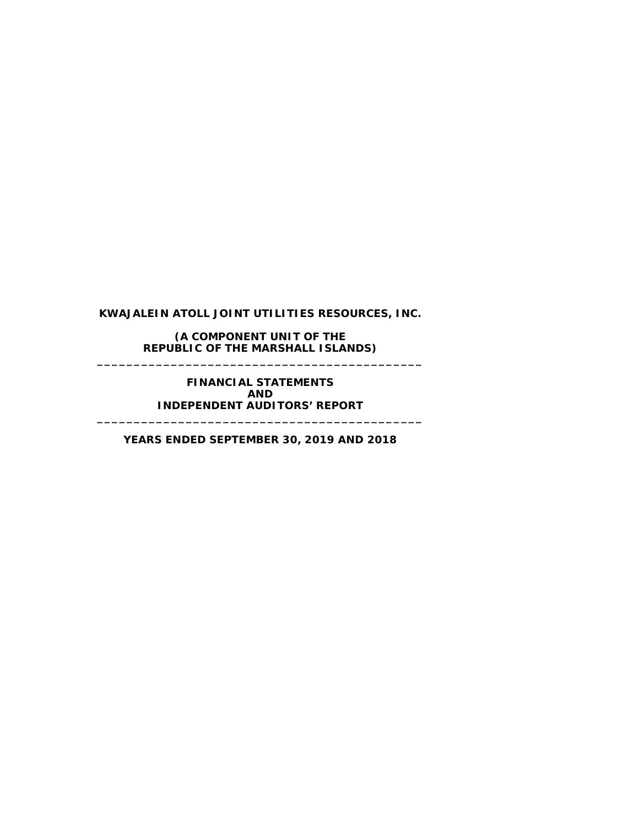**(A COMPONENT UNIT OF THE REPUBLIC OF THE MARSHALL ISLANDS) \_\_\_\_\_\_\_\_\_\_\_\_\_\_\_\_\_\_\_\_\_\_\_\_\_\_\_\_\_\_\_\_\_\_\_\_\_\_\_\_\_\_\_\_**

> **FINANCIAL STATEMENTS AND INDEPENDENT AUDITORS' REPORT**

**YEARS ENDED SEPTEMBER 30, 2019 AND 2018**

**\_\_\_\_\_\_\_\_\_\_\_\_\_\_\_\_\_\_\_\_\_\_\_\_\_\_\_\_\_\_\_\_\_\_\_\_\_\_\_\_\_\_\_\_**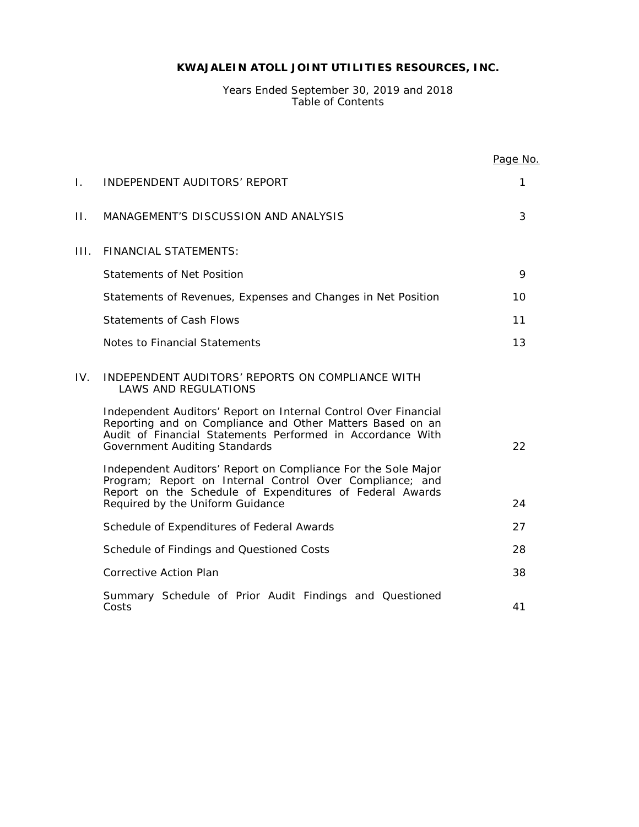Years Ended September 30, 2019 and 2018 Table of Contents

|     |                                                                                                                                                                                                                                    | Page No. |
|-----|------------------------------------------------------------------------------------------------------------------------------------------------------------------------------------------------------------------------------------|----------|
| Ι.  | INDEPENDENT AUDITORS' REPORT                                                                                                                                                                                                       | 1        |
| П.  | MANAGEMENT'S DISCUSSION AND ANALYSIS                                                                                                                                                                                               | 3        |
| Ш.  | <b>FINANCIAL STATEMENTS:</b>                                                                                                                                                                                                       |          |
|     | <b>Statements of Net Position</b>                                                                                                                                                                                                  | 9        |
|     | Statements of Revenues, Expenses and Changes in Net Position                                                                                                                                                                       | 10       |
|     | <b>Statements of Cash Flows</b>                                                                                                                                                                                                    | 11       |
|     | Notes to Financial Statements                                                                                                                                                                                                      | 13       |
| IV. | INDEPENDENT AUDITORS' REPORTS ON COMPLIANCE WITH<br>LAWS AND REGULATIONS                                                                                                                                                           |          |
|     | Independent Auditors' Report on Internal Control Over Financial<br>Reporting and on Compliance and Other Matters Based on an<br>Audit of Financial Statements Performed in Accordance With<br><b>Government Auditing Standards</b> | 22       |
|     | Independent Auditors' Report on Compliance For the Sole Major<br>Program; Report on Internal Control Over Compliance; and<br>Report on the Schedule of Expenditures of Federal Awards<br>Required by the Uniform Guidance          | 24       |
|     | Schedule of Expenditures of Federal Awards                                                                                                                                                                                         | 27       |
|     | Schedule of Findings and Questioned Costs                                                                                                                                                                                          | 28       |
|     | <b>Corrective Action Plan</b>                                                                                                                                                                                                      | 38       |
|     | Summary Schedule of Prior Audit Findings and Questioned<br>Costs                                                                                                                                                                   | 41       |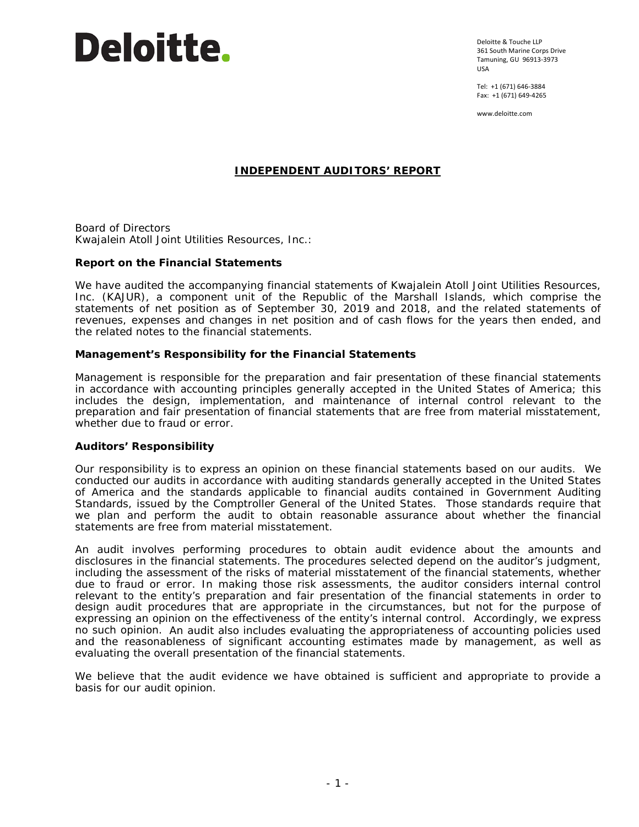

Deloitte & Touche LLP 361 South Marine Corps Drive Tamuning, GU 96913-3973 USA

Tel: +1 (671) 646-3884 Fax: +1 (671) 649-4265

www.deloitte.com

# **INDEPENDENT AUDITORS' REPORT**

Board of Directors Kwajalein Atoll Joint Utilities Resources, Inc.:

## **Report on the Financial Statements**

We have audited the accompanying financial statements of Kwajalein Atoll Joint Utilities Resources, Inc. (KAJUR), a component unit of the Republic of the Marshall Islands, which comprise the statements of net position as of September 30, 2019 and 2018, and the related statements of revenues, expenses and changes in net position and of cash flows for the years then ended, and the related notes to the financial statements.

## *Management's Responsibility for the Financial Statements*

Management is responsible for the preparation and fair presentation of these financial statements in accordance with accounting principles generally accepted in the United States of America; this includes the design, implementation, and maintenance of internal control relevant to the preparation and fair presentation of financial statements that are free from material misstatement, whether due to fraud or error.

## *Auditors' Responsibility*

Our responsibility is to express an opinion on these financial statements based on our audits. We conducted our audits in accordance with auditing standards generally accepted in the United States of America and the standards applicable to financial audits contained in *Government Auditing Standards,* issued by the Comptroller General of the United States. Those standards require that we plan and perform the audit to obtain reasonable assurance about whether the financial statements are free from material misstatement.

An audit involves performing procedures to obtain audit evidence about the amounts and disclosures in the financial statements. The procedures selected depend on the auditor's judgment, including the assessment of the risks of material misstatement of the financial statements, whether due to fraud or error. In making those risk assessments, the auditor considers internal control relevant to the entity's preparation and fair presentation of the financial statements in order to design audit procedures that are appropriate in the circumstances, but not for the purpose of expressing an opinion on the effectiveness of the entity's internal control. Accordingly, we express no such opinion. An audit also includes evaluating the appropriateness of accounting policies used and the reasonableness of significant accounting estimates made by management, as well as evaluating the overall presentation of the financial statements.

We believe that the audit evidence we have obtained is sufficient and appropriate to provide a basis for our audit opinion.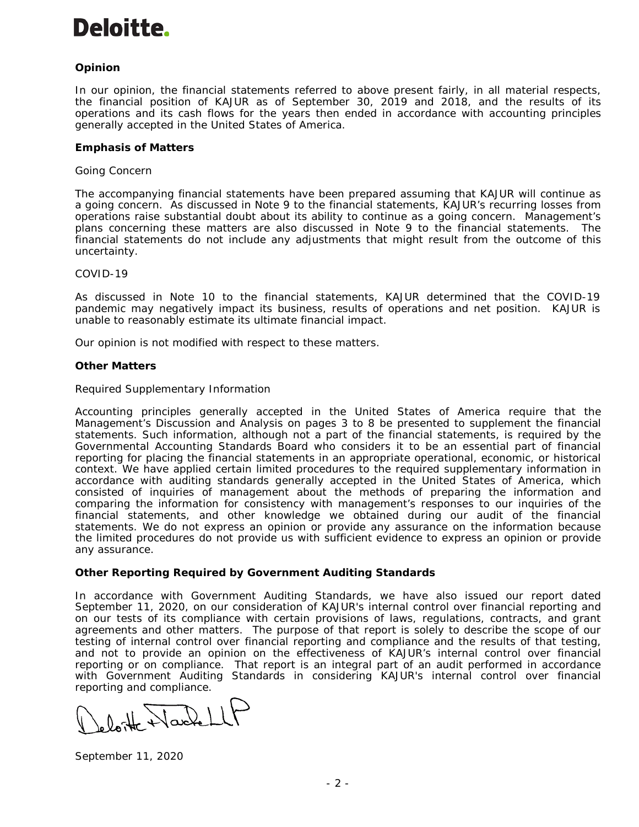# **Deloitte.**

# *Opinion*

In our opinion, the financial statements referred to above present fairly, in all material respects, the financial position of KAJUR as of September 30, 2019 and 2018, and the results of its operations and its cash flows for the years then ended in accordance with accounting principles generally accepted in the United States of America.

# *Emphasis of Matters*

## *Going Concern*

The accompanying financial statements have been prepared assuming that KAJUR will continue as a going concern. As discussed in Note 9 to the financial statements, KAJUR's recurring losses from operations raise substantial doubt about its ability to continue as a going concern. Management's plans concerning these matters are also discussed in Note 9 to the financial statements. The financial statements do not include any adjustments that might result from the outcome of this uncertainty.

#### *COVID-19*

As discussed in Note 10 to the financial statements, KAJUR determined that the COVID-19 pandemic may negatively impact its business, results of operations and net position. KAJUR is unable to reasonably estimate its ultimate financial impact.

Our opinion is not modified with respect to these matters.

## *Other Matters*

#### *Required Supplementary Information*

Accounting principles generally accepted in the United States of America require that the Management's Discussion and Analysis on pages 3 to 8 be presented to supplement the financial statements. Such information, although not a part of the financial statements, is required by the Governmental Accounting Standards Board who considers it to be an essential part of financial reporting for placing the financial statements in an appropriate operational, economic, or historical context. We have applied certain limited procedures to the required supplementary information in accordance with auditing standards generally accepted in the United States of America, which consisted of inquiries of management about the methods of preparing the information and comparing the information for consistency with management's responses to our inquiries of the financial statements, and other knowledge we obtained during our audit of the financial statements. We do not express an opinion or provide any assurance on the information because the limited procedures do not provide us with sufficient evidence to express an opinion or provide any assurance.

## **Other Reporting Required by** *Government Auditing Standards*

In accordance with *Government Auditing Standards*, we have also issued our report dated September 11, 2020, on our consideration of KAJUR's internal control over financial reporting and on our tests of its compliance with certain provisions of laws, regulations, contracts, and grant agreements and other matters. The purpose of that report is solely to describe the scope of our testing of internal control over financial reporting and compliance and the results of that testing, and not to provide an opinion on the effectiveness of KAJUR's internal control over financial reporting or on compliance. That report is an integral part of an audit performed in accordance with *Government Auditing Standards* in considering KAJUR's internal control over financial reporting and compliance.

loite Wackell

September 11, 2020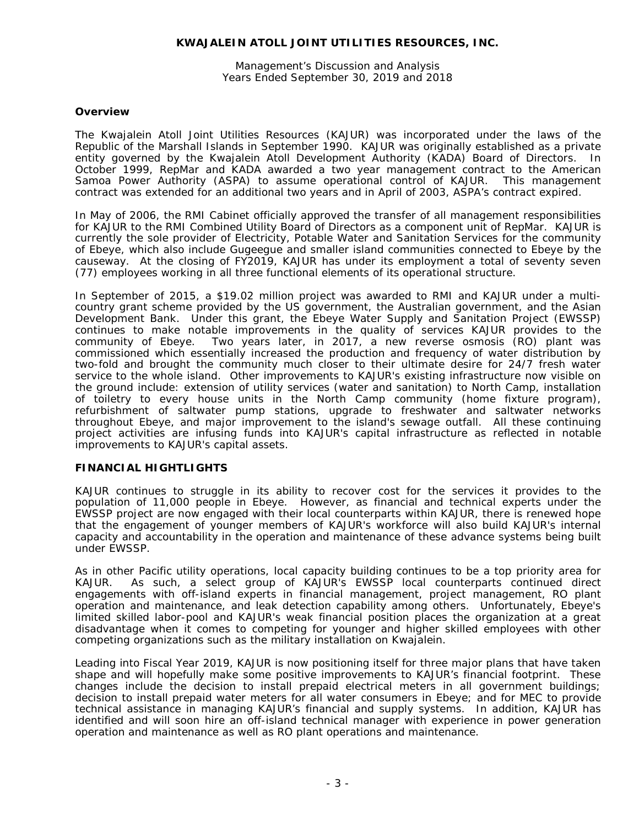Management's Discussion and Analysis Years Ended September 30, 2019 and 2018

# **Overview**

The Kwajalein Atoll Joint Utilities Resources (KAJUR) was incorporated under the laws of the Republic of the Marshall Islands in September 1990. KAJUR was originally established as a private entity governed by the Kwajalein Atoll Development Authority (KADA) Board of Directors. In October 1999, RepMar and KADA awarded a two year management contract to the American Samoa Power Authority (ASPA) to assume operational control of KAJUR. This management contract was extended for an additional two years and in April of 2003, ASPA's contract expired.

In May of 2006, the RMI Cabinet officially approved the transfer of all management responsibilities for KAJUR to the RMI Combined Utility Board of Directors as a component unit of RepMar. KAJUR is currently the sole provider of Electricity, Potable Water and Sanitation Services for the community of Ebeye, which also include Gugeegue and smaller island communities connected to Ebeye by the causeway. At the closing of FY2019, KAJUR has under its employment a total of seventy seven (77) employees working in all three functional elements of its operational structure.

In September of 2015, a \$19.02 million project was awarded to RMI and KAJUR under a multicountry grant scheme provided by the US government, the Australian government, and the Asian Development Bank. Under this grant, the Ebeye Water Supply and Sanitation Project (EWSSP) continues to make notable improvements in the quality of services KAJUR provides to the community of Ebeye. Two years later, in 2017, a new reverse osmosis (RO) plant was commissioned which essentially increased the production and frequency of water distribution by two-fold and brought the community much closer to their ultimate desire for 24/7 fresh water service to the whole island. Other improvements to KAJUR's existing infrastructure now visible on the ground include: extension of utility services (water and sanitation) to North Camp, installation of toiletry to every house units in the North Camp community (home fixture program), refurbishment of saltwater pump stations, upgrade to freshwater and saltwater networks throughout Ebeye, and major improvement to the island's sewage outfall. All these continuing project activities are infusing funds into KAJUR's capital infrastructure as reflected in notable improvements to KAJUR's capital assets.

## **FINANCIAL HIGHTLIGHTS**

KAJUR continues to struggle in its ability to recover cost for the services it provides to the population of 11,000 people in Ebeye. However, as financial and technical experts under the EWSSP project are now engaged with their local counterparts within KAJUR, there is renewed hope that the engagement of younger members of KAJUR's workforce will also build KAJUR's internal capacity and accountability in the operation and maintenance of these advance systems being built under EWSSP.

As in other Pacific utility operations, local capacity building continues to be a top priority area for KAJUR. As such, a select group of KAJUR's EWSSP local counterparts continued direct engagements with off-island experts in financial management, project management, RO plant operation and maintenance, and leak detection capability among others. Unfortunately, Ebeye's limited skilled labor-pool and KAJUR's weak financial position places the organization at a great disadvantage when it comes to competing for younger and higher skilled employees with other competing organizations such as the military installation on Kwajalein.

Leading into Fiscal Year 2019, KAJUR is now positioning itself for three major plans that have taken shape and will hopefully make some positive improvements to KAJUR's financial footprint. These changes include the decision to install prepaid electrical meters in all government buildings; decision to install prepaid water meters for all water consumers in Ebeye; and for MEC to provide technical assistance in managing KAJUR's financial and supply systems. In addition, KAJUR has identified and will soon hire an off-island technical manager with experience in power generation operation and maintenance as well as RO plant operations and maintenance.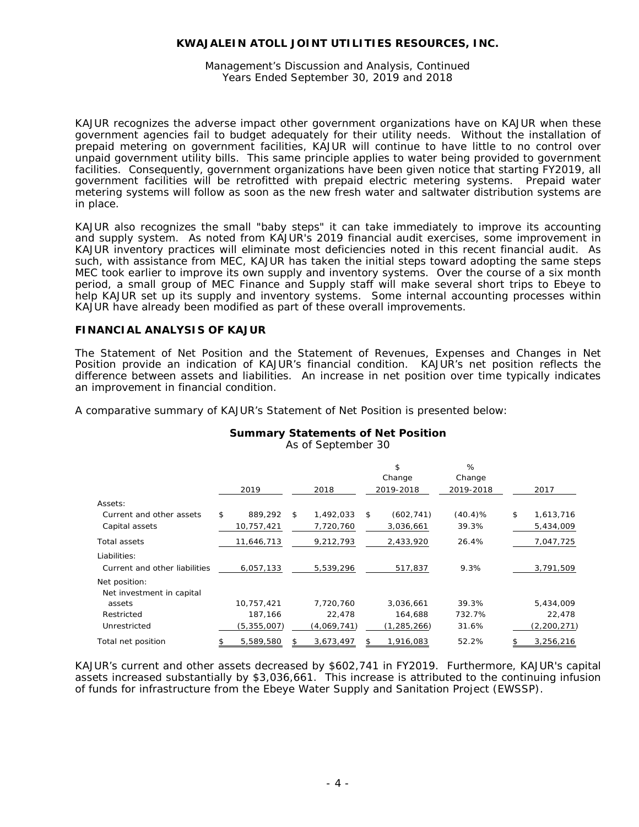Management's Discussion and Analysis, Continued Years Ended September 30, 2019 and 2018

KAJUR recognizes the adverse impact other government organizations have on KAJUR when these government agencies fail to budget adequately for their utility needs. Without the installation of prepaid metering on government facilities, KAJUR will continue to have little to no control over unpaid government utility bills. This same principle applies to water being provided to government facilities. Consequently, government organizations have been given notice that starting FY2019, all government facilities will be retrofitted with prepaid electric metering systems. Prepaid water metering systems will follow as soon as the new fresh water and saltwater distribution systems are in place.

KAJUR also recognizes the small "baby steps" it can take immediately to improve its accounting and supply system. As noted from KAJUR's 2019 financial audit exercises, some improvement in KAJUR inventory practices will eliminate most deficiencies noted in this recent financial audit. As such, with assistance from MEC, KAJUR has taken the initial steps toward adopting the same steps MEC took earlier to improve its own supply and inventory systems. Over the course of a six month period, a small group of MEC Finance and Supply staff will make several short trips to Ebeye to help KAJUR set up its supply and inventory systems. Some internal accounting processes within KAJUR have already been modified as part of these overall improvements.

## **FINANCIAL ANALYSIS OF KAJUR**

The Statement of Net Position and the Statement of Revenues, Expenses and Changes in Net Position provide an indication of KAJUR's financial condition. KAJUR's net position reflects the difference between assets and liabilities. An increase in net position over time typically indicates an improvement in financial condition.

A comparative summary of KAJUR's Statement of Net Position is presented below:

# **Summary Statements of Net Position**

| As of September 30 |  |  |  |
|--------------------|--|--|--|
|                    |  |  |  |

|                               |                 |                 | \$               | %          |                 |
|-------------------------------|-----------------|-----------------|------------------|------------|-----------------|
|                               |                 |                 | Change           | Change     |                 |
|                               | 2019            | 2018            | 2019-2018        | 2019-2018  | 2017            |
| Assets:                       |                 |                 |                  |            |                 |
| Current and other assets      | \$<br>889,292   | \$<br>1,492,033 | \$<br>(602, 741) | $(40.4)\%$ | \$<br>1,613,716 |
| Capital assets                | 10,757,421      | 7,720,760       | 3,036,661        | 39.3%      | 5,434,009       |
| Total assets                  | 11,646,713      | 9,212,793       | 2,433,920        | 26.4%      | 7,047,725       |
| Liabilities:                  |                 |                 |                  |            |                 |
| Current and other liabilities | 6,057,133       | 5,539,296       | 517,837          | 9.3%       | 3,791,509       |
| Net position:                 |                 |                 |                  |            |                 |
| Net investment in capital     |                 |                 |                  |            |                 |
| assets                        | 10,757,421      | 7,720,760       | 3,036,661        | 39.3%      | 5,434,009       |
| Restricted                    | 187,166         | 22,478          | 164,688          | 732.7%     | 22,478          |
| Unrestricted                  | (5, 355, 007)   | (4,069,741)     | (1, 285, 266)    | 31.6%      | (2, 200, 271)   |
| Total net position            | \$<br>5,589,580 | \$<br>3,673,497 | \$<br>1,916,083  | 52.2%      | \$<br>3,256,216 |

KAJUR's current and other assets decreased by \$602,741 in FY2019. Furthermore, KAJUR's capital assets increased substantially by \$3,036,661. This increase is attributed to the continuing infusion of funds for infrastructure from the Ebeye Water Supply and Sanitation Project (EWSSP).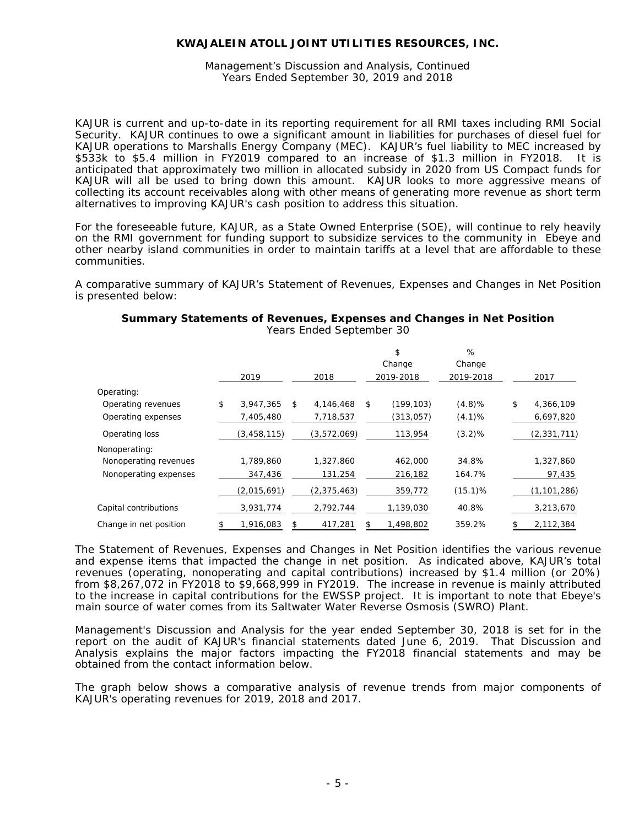#### Management's Discussion and Analysis, Continued Years Ended September 30, 2019 and 2018

KAJUR is current and up-to-date in its reporting requirement for all RMI taxes including RMI Social Security. KAJUR continues to owe a significant amount in liabilities for purchases of diesel fuel for KAJUR operations to Marshalls Energy Company (MEC). KAJUR's fuel liability to MEC increased by \$533k to \$5.4 million in FY2019 compared to an increase of \$1.3 million in FY2018. It is anticipated that approximately two million in allocated subsidy in 2020 from US Compact funds for KAJUR will all be used to bring down this amount. KAJUR looks to more aggressive means of collecting its account receivables along with other means of generating more revenue as short term alternatives to improving KAJUR's cash position to address this situation.

For the foreseeable future, KAJUR, as a State Owned Enterprise (SOE), will continue to rely heavily on the RMI government for funding support to subsidize services to the community in Ebeye and other nearby island communities in order to maintain tariffs at a level that are affordable to these communities.

A comparative summary of KAJUR's Statement of Revenues, Expenses and Changes in Net Position is presented below:

|                        | 2019            | 2018            |    | \$<br>Change<br>2019-2018 | %<br>Change<br>2019-2018 | 2017            |
|------------------------|-----------------|-----------------|----|---------------------------|--------------------------|-----------------|
| Operating:             |                 |                 |    |                           |                          |                 |
| Operating revenues     | \$<br>3,947,365 | \$<br>4,146,468 | \$ | (199, 103)                | (4.8)%                   | \$<br>4,366,109 |
| Operating expenses     | 7,405,480       | 7,718,537       |    | (313, 057)                | (4.1)%                   | 6,697,820       |
| Operating loss         | (3,458,115)     | (3,572,069)     |    | 113,954                   | (3.2)%                   | (2, 331, 711)   |
| Nonoperating:          |                 |                 |    |                           |                          |                 |
| Nonoperating revenues  | 1,789,860       | 1,327,860       |    | 462,000                   | 34.8%                    | 1,327,860       |
| Nonoperating expenses  | 347,436         | 131,254         |    | 216,182                   | 164.7%                   | 97,435          |
|                        | (2,015,691)     | (2, 375, 463)   |    | 359,772                   | $(15.1)$ %               | (1, 101, 286)   |
| Capital contributions  | 3,931,774       | 2,792,744       |    | 1,139,030                 | 40.8%                    | 3,213,670       |
| Change in net position | 1,916,083       | 417,281         | S  | 1,498,802                 | 359.2%                   | 2,112,384       |

#### **Summary Statements of Revenues, Expenses and Changes in Net Position** Years Ended September 30

The Statement of Revenues, Expenses and Changes in Net Position identifies the various revenue and expense items that impacted the change in net position. As indicated above, KAJUR's total revenues (operating, nonoperating and capital contributions) increased by \$1.4 million (or 20%) from \$8,267,072 in FY2018 to \$9,668,999 in FY2019. The increase in revenue is mainly attributed to the increase in capital contributions for the EWSSP project. It is important to note that Ebeye's main source of water comes from its Saltwater Water Reverse Osmosis (SWRO) Plant.

Management's Discussion and Analysis for the year ended September 30, 2018 is set for in the report on the audit of KAJUR's financial statements dated June 6, 2019. That Discussion and Analysis explains the major factors impacting the FY2018 financial statements and may be obtained from the contact information below.

The graph below shows a comparative analysis of revenue trends from major components of KAJUR's operating revenues for 2019, 2018 and 2017.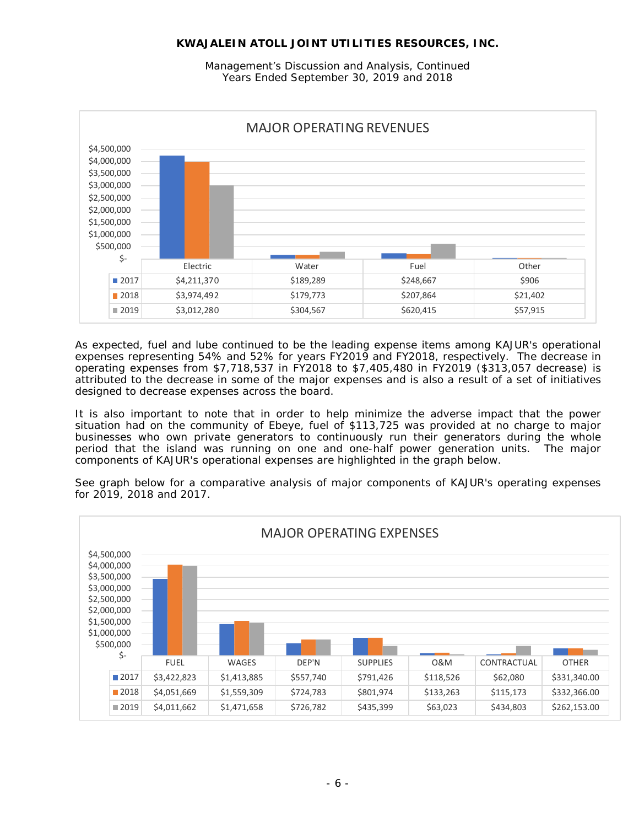Management's Discussion and Analysis, Continued Years Ended September 30, 2019 and 2018



As expected, fuel and lube continued to be the leading expense items among KAJUR's operational expenses representing 54% and 52% for years FY2019 and FY2018, respectively. The decrease in operating expenses from \$7,718,537 in FY2018 to \$7,405,480 in FY2019 (\$313,057 decrease) is attributed to the decrease in some of the major expenses and is also a result of a set of initiatives designed to decrease expenses across the board.

It is also important to note that in order to help minimize the adverse impact that the power situation had on the community of Ebeye, fuel of \$113,725 was provided at no charge to major businesses who own private generators to continuously run their generators during the whole period that the island was running on one and one-half power generation units. The major components of KAJUR's operational expenses are highlighted in the graph below.

See graph below for a comparative analysis of major components of KAJUR's operating expenses for 2019, 2018 and 2017.

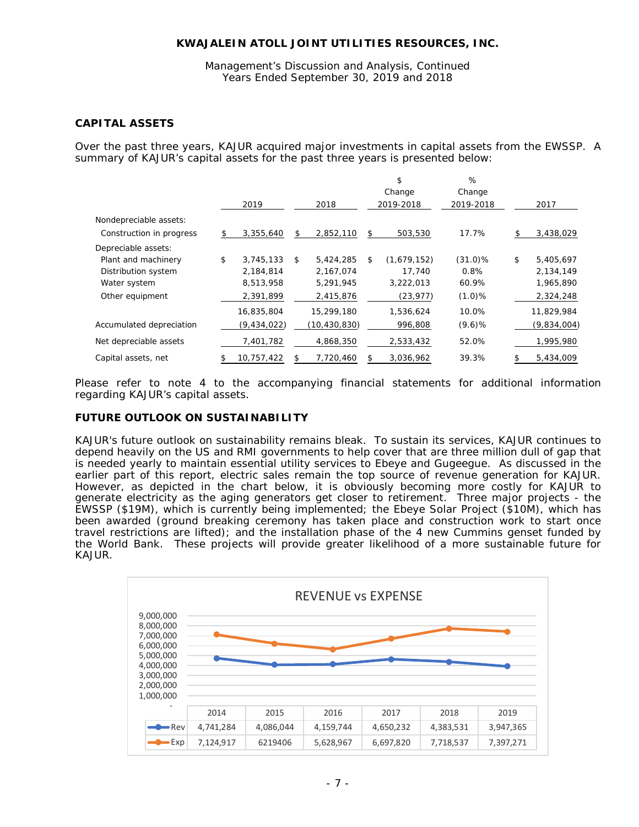Management's Discussion and Analysis, Continued Years Ended September 30, 2019 and 2018

# **CAPITAL ASSETS**

Over the past three years, KAJUR acquired major investments in capital assets from the EWSSP. A summary of KAJUR's capital assets for the past three years is presented below:

|                          |                 |                 |    | \$<br>Change | %<br>Change |                 |
|--------------------------|-----------------|-----------------|----|--------------|-------------|-----------------|
|                          | 2019            | 2018            |    | 2019-2018    | 2019-2018   | 2017            |
| Nondepreciable assets:   |                 |                 |    |              |             |                 |
| Construction in progress | \$<br>3,355,640 | \$<br>2,852,110 | \$ | 503,530      | 17.7%       | \$<br>3,438,029 |
| Depreciable assets:      |                 |                 |    |              |             |                 |
| Plant and machinery      | \$<br>3,745,133 | \$<br>5,424,285 | \$ | (1,679,152)  | $(31.0)\%$  | \$<br>5,405,697 |
| Distribution system      | 2,184,814       | 2,167,074       |    | 17,740       | 0.8%        | 2,134,149       |
| Water system             | 8,513,958       | 5,291,945       |    | 3,222,013    | 60.9%       | 1,965,890       |
| Other equipment          | 2,391,899       | 2,415,876       |    | (23, 977)    | (1.0)%      | 2,324,248       |
|                          | 16,835,804      | 15,299,180      |    | 1,536,624    | 10.0%       | 11,829,984      |
| Accumulated depreciation | (9,434,022)     | (10,430,830)    |    | 996,808      | (9.6)%      | (9,834,004)     |
| Net depreciable assets   | 7,401,782       | 4,868,350       |    | 2,533,432    | 52.0%       | 1,995,980       |
| Capital assets, net      | 10,757,422      | 7,720,460       | S  | 3,036,962    | 39.3%       | 5,434,009       |

Please refer to note 4 to the accompanying financial statements for additional information regarding KAJUR's capital assets.

## **FUTURE OUTLOOK ON SUSTAINABILITY**

KAJUR's future outlook on sustainability remains bleak. To sustain its services, KAJUR continues to depend heavily on the US and RMI governments to help cover that are three million dull of gap that is needed yearly to maintain essential utility services to Ebeye and Gugeegue. As discussed in the earlier part of this report, electric sales remain the top source of revenue generation for KAJUR. However, as depicted in the chart below, it is obviously becoming more costly for KAJUR to generate electricity as the aging generators get closer to retirement. Three major projects - the EWSSP (\$19M), which is currently being implemented; the Ebeye Solar Project (\$10M), which has been awarded (ground breaking ceremony has taken place and construction work to start once travel restrictions are lifted); and the installation phase of the 4 new Cummins genset funded by the World Bank. These projects will provide greater likelihood of a more sustainable future for KAJUR.

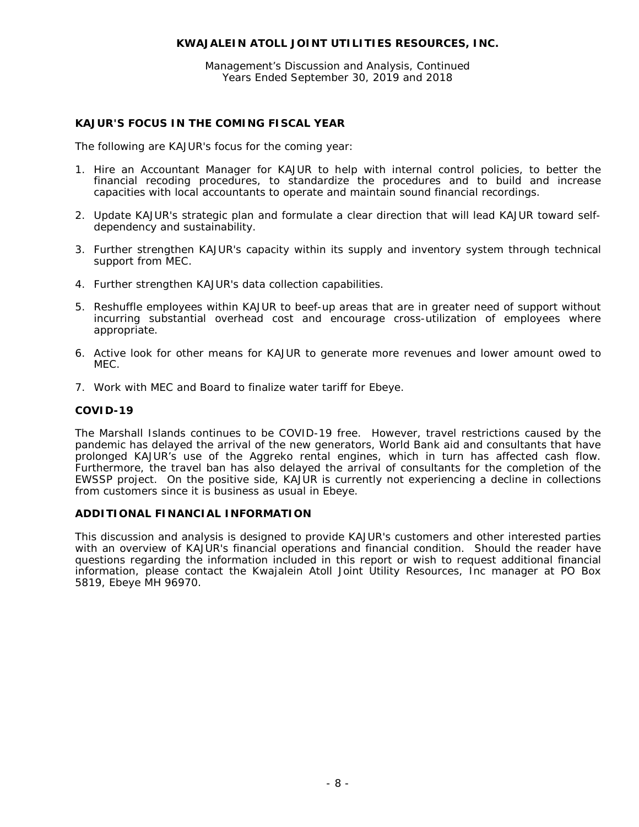Management's Discussion and Analysis, Continued Years Ended September 30, 2019 and 2018

# **KAJUR'S FOCUS IN THE COMING FISCAL YEAR**

The following are KAJUR's focus for the coming year:

- 1. Hire an Accountant Manager for KAJUR to help with internal control policies, to better the financial recoding procedures, to standardize the procedures and to build and increase capacities with local accountants to operate and maintain sound financial recordings.
- 2. Update KAJUR's strategic plan and formulate a clear direction that will lead KAJUR toward selfdependency and sustainability.
- 3. Further strengthen KAJUR's capacity within its supply and inventory system through technical support from MEC.
- 4. Further strengthen KAJUR's data collection capabilities.
- 5. Reshuffle employees within KAJUR to beef-up areas that are in greater need of support without incurring substantial overhead cost and encourage cross-utilization of employees where appropriate.
- 6. Active look for other means for KAJUR to generate more revenues and lower amount owed to MEC.
- 7. Work with MEC and Board to finalize water tariff for Ebeye.

## **COVID-19**

The Marshall Islands continues to be COVID-19 free. However, travel restrictions caused by the pandemic has delayed the arrival of the new generators, World Bank aid and consultants that have prolonged KAJUR's use of the Aggreko rental engines, which in turn has affected cash flow. Furthermore, the travel ban has also delayed the arrival of consultants for the completion of the EWSSP project. On the positive side, KAJUR is currently not experiencing a decline in collections from customers since it is business as usual in Ebeye.

# **ADDITIONAL FINANCIAL INFORMATION**

This discussion and analysis is designed to provide KAJUR's customers and other interested parties with an overview of KAJUR's financial operations and financial condition. Should the reader have questions regarding the information included in this report or wish to request additional financial information, please contact the Kwajalein Atoll Joint Utility Resources, Inc manager at PO Box 5819, Ebeye MH 96970.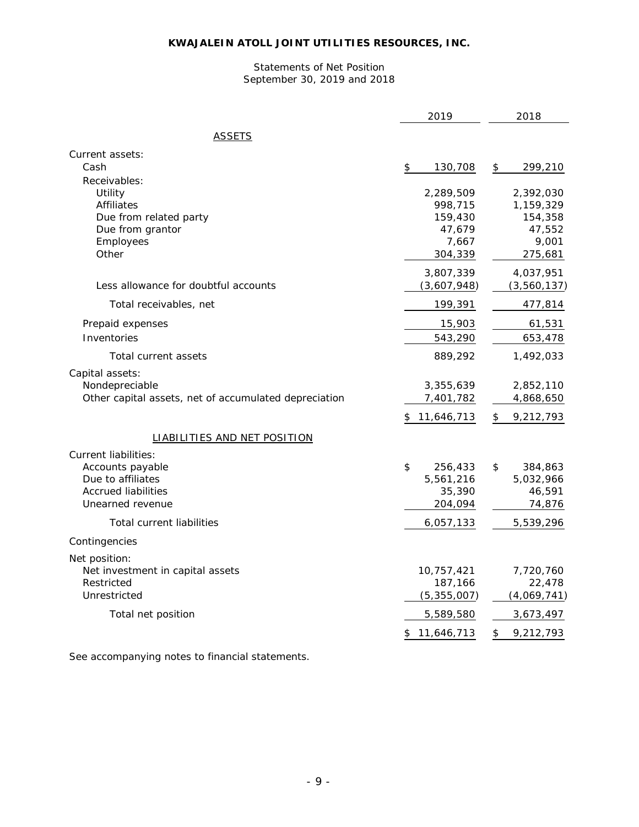## Statements of Net Position September 30, 2019 and 2018

|                                                       | 2019             | 2018             |
|-------------------------------------------------------|------------------|------------------|
| ASSETS                                                |                  |                  |
| Current assets:                                       |                  |                  |
| Cash                                                  | 130,708<br>\$    | 299,210<br>\$    |
| Receivables:                                          |                  |                  |
| Utility                                               | 2,289,509        | 2,392,030        |
| <b>Affiliates</b>                                     | 998,715          | 1,159,329        |
| Due from related party                                | 159,430          | 154,358          |
| Due from grantor                                      | 47,679           | 47,552           |
| Employees<br>Other                                    | 7,667<br>304,339 | 9,001<br>275,681 |
|                                                       |                  |                  |
|                                                       | 3,807,339        | 4,037,951        |
| Less allowance for doubtful accounts                  | (3,607,948)      | (3,560,137)      |
| Total receivables, net                                | 199,391          | 477,814          |
| Prepaid expenses                                      | 15,903           | 61,531           |
| Inventories                                           | 543,290          | 653,478          |
| Total current assets                                  | 889,292          | 1,492,033        |
| Capital assets:                                       |                  |                  |
| Nondepreciable                                        | 3,355,639        | 2,852,110        |
| Other capital assets, net of accumulated depreciation | 7,401,782        | 4,868,650        |
|                                                       | \$11,646,713     | \$<br>9,212,793  |
| <b>LIABILITIES AND NET POSITION</b>                   |                  |                  |
| <b>Current liabilities:</b>                           |                  |                  |
| Accounts payable                                      | \$<br>256,433    | \$<br>384,863    |
| Due to affiliates                                     | 5,561,216        | 5,032,966        |
| <b>Accrued liabilities</b>                            | 35,390           | 46,591           |
| Unearned revenue                                      | 204,094          | 74,876           |
| <b>Total current liabilities</b>                      | 6,057,133        | 5,539,296        |
| Contingencies                                         |                  |                  |
| Net position:                                         |                  |                  |
| Net investment in capital assets                      | 10,757,421       | 7,720,760        |
| Restricted                                            | 187,166          | 22,478           |
| Unrestricted                                          | (5, 355, 007)    | (4,069,741)      |
| Total net position                                    | 5,589,580        | 3,673,497        |
|                                                       | \$11,646,713     | 9,212,793<br>\$  |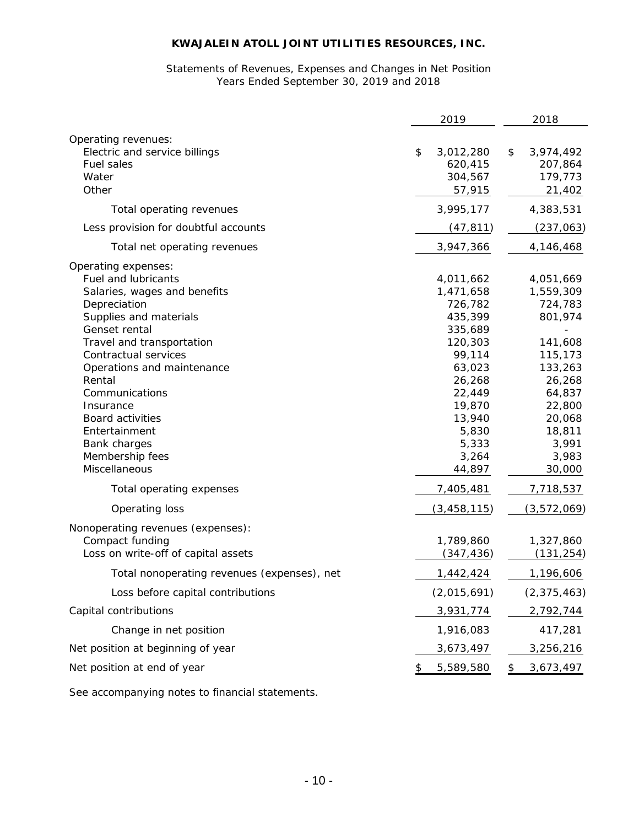# Statements of Revenues, Expenses and Changes in Net Position Years Ended September 30, 2019 and 2018

|                                                                                                                                                                                                                                                                                                                                                                   | 2019                                                                                                                                                                | 2018                                                                                                                                                        |
|-------------------------------------------------------------------------------------------------------------------------------------------------------------------------------------------------------------------------------------------------------------------------------------------------------------------------------------------------------------------|---------------------------------------------------------------------------------------------------------------------------------------------------------------------|-------------------------------------------------------------------------------------------------------------------------------------------------------------|
| Operating revenues:<br>Electric and service billings<br><b>Fuel sales</b><br>Water<br>Other                                                                                                                                                                                                                                                                       | \$<br>3,012,280<br>620,415<br>304,567<br>57,915                                                                                                                     | \$<br>3,974,492<br>207,864<br>179,773<br>21,402                                                                                                             |
| Total operating revenues                                                                                                                                                                                                                                                                                                                                          | 3,995,177                                                                                                                                                           | 4,383,531                                                                                                                                                   |
| Less provision for doubtful accounts                                                                                                                                                                                                                                                                                                                              | (47, 811)                                                                                                                                                           | (237, 063)                                                                                                                                                  |
| Total net operating revenues                                                                                                                                                                                                                                                                                                                                      | 3,947,366                                                                                                                                                           | 4,146,468                                                                                                                                                   |
| Operating expenses:<br><b>Fuel and lubricants</b><br>Salaries, wages and benefits<br>Depreciation<br>Supplies and materials<br>Genset rental<br>Travel and transportation<br>Contractual services<br>Operations and maintenance<br>Rental<br>Communications<br>Insurance<br>Board activities<br>Entertainment<br>Bank charges<br>Membership fees<br>Miscellaneous | 4,011,662<br>1,471,658<br>726,782<br>435,399<br>335,689<br>120,303<br>99,114<br>63,023<br>26,268<br>22,449<br>19,870<br>13,940<br>5,830<br>5,333<br>3,264<br>44,897 | 4,051,669<br>1,559,309<br>724,783<br>801,974<br>141,608<br>115,173<br>133,263<br>26,268<br>64,837<br>22,800<br>20,068<br>18,811<br>3,991<br>3,983<br>30,000 |
| Total operating expenses                                                                                                                                                                                                                                                                                                                                          | 7,405,481                                                                                                                                                           | 7,718,537                                                                                                                                                   |
| Operating loss<br>Nonoperating revenues (expenses):<br>Compact funding<br>Loss on write-off of capital assets                                                                                                                                                                                                                                                     | (3, 458, 115)<br>1,789,860<br>(347, 436)                                                                                                                            | (3,572,069)<br>1,327,860<br>(131, 254)                                                                                                                      |
| Total nonoperating revenues (expenses), net                                                                                                                                                                                                                                                                                                                       | 1,442,424                                                                                                                                                           | 1,196,606                                                                                                                                                   |
| Loss before capital contributions                                                                                                                                                                                                                                                                                                                                 | (2,015,691)                                                                                                                                                         | (2, 375, 463)                                                                                                                                               |
| Capital contributions                                                                                                                                                                                                                                                                                                                                             | 3,931,774                                                                                                                                                           | 2,792,744                                                                                                                                                   |
| Change in net position                                                                                                                                                                                                                                                                                                                                            | 1,916,083                                                                                                                                                           | 417,281                                                                                                                                                     |
| Net position at beginning of year                                                                                                                                                                                                                                                                                                                                 | 3,673,497                                                                                                                                                           | 3,256,216                                                                                                                                                   |
| Net position at end of year                                                                                                                                                                                                                                                                                                                                       | \$<br>5,589,580                                                                                                                                                     | \$<br>3,673,497                                                                                                                                             |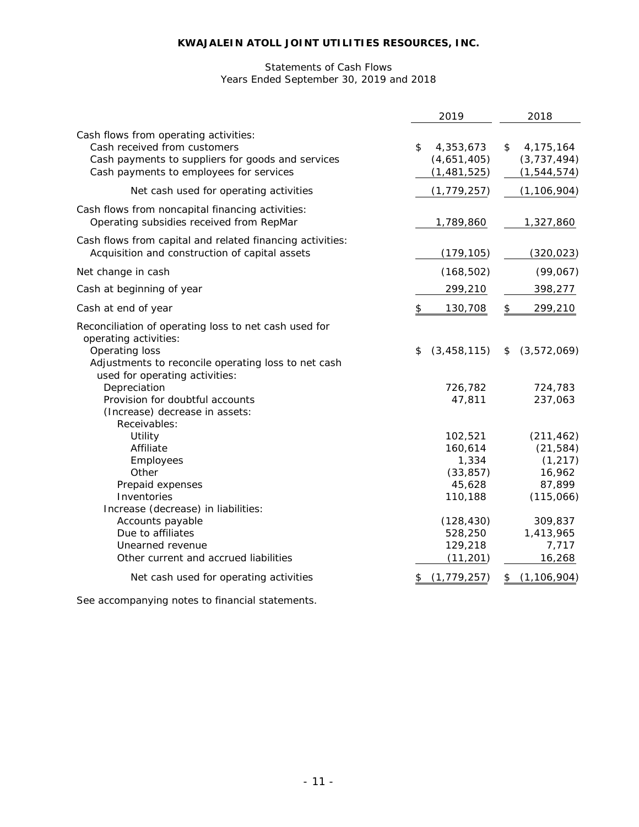# Statements of Cash Flows Years Ended September 30, 2019 and 2018

|                                                                                                                                                                                           | 2019                                                          | 2018                                                                 |
|-------------------------------------------------------------------------------------------------------------------------------------------------------------------------------------------|---------------------------------------------------------------|----------------------------------------------------------------------|
| Cash flows from operating activities:<br>Cash received from customers<br>Cash payments to suppliers for goods and services<br>Cash payments to employees for services                     | 4,353,673<br>\$<br>(4,651,405)<br>(1,481,525)                 | \$<br>4,175,164<br>(3,737,494)<br>(1, 544, 574)                      |
| Net cash used for operating activities                                                                                                                                                    | (1, 779, 257)                                                 | (1, 106, 904)                                                        |
| Cash flows from noncapital financing activities:<br>Operating subsidies received from RepMar                                                                                              | 1,789,860                                                     | 1,327,860                                                            |
| Cash flows from capital and related financing activities:<br>Acquisition and construction of capital assets                                                                               | (179, 105)                                                    | (320, 023)                                                           |
| Net change in cash                                                                                                                                                                        | (168, 502)                                                    | (99,067)                                                             |
| Cash at beginning of year                                                                                                                                                                 | 299,210                                                       | 398,277                                                              |
| Cash at end of year                                                                                                                                                                       | 130,708<br>\$                                                 | \$<br>299,210                                                        |
| Reconciliation of operating loss to net cash used for<br>operating activities:<br>Operating loss<br>Adjustments to reconcile operating loss to net cash<br>used for operating activities: | (3, 458, 115)<br>\$                                           | (3,572,069)<br>\$                                                    |
| Depreciation<br>Provision for doubtful accounts<br>(Increase) decrease in assets:<br>Receivables:                                                                                         | 726,782<br>47,811                                             | 724,783<br>237,063                                                   |
| Utility<br>Affiliate<br>Employees<br>Other<br>Prepaid expenses<br>Inventories<br>Increase (decrease) in liabilities:                                                                      | 102,521<br>160,614<br>1,334<br>(33, 857)<br>45,628<br>110,188 | (211, 462)<br>(21, 584)<br>(1, 217)<br>16,962<br>87,899<br>(115,066) |
| Accounts payable<br>Due to affiliates<br>Unearned revenue<br>Other current and accrued liabilities<br>Net cash used for operating activities                                              | (128, 430)<br>528,250<br>129,218<br>(11, 201)                 | 309,837<br>1,413,965<br>7,717<br>16,268                              |
|                                                                                                                                                                                           | (1, 779, 257)                                                 | (1, 106, 904)<br>\$                                                  |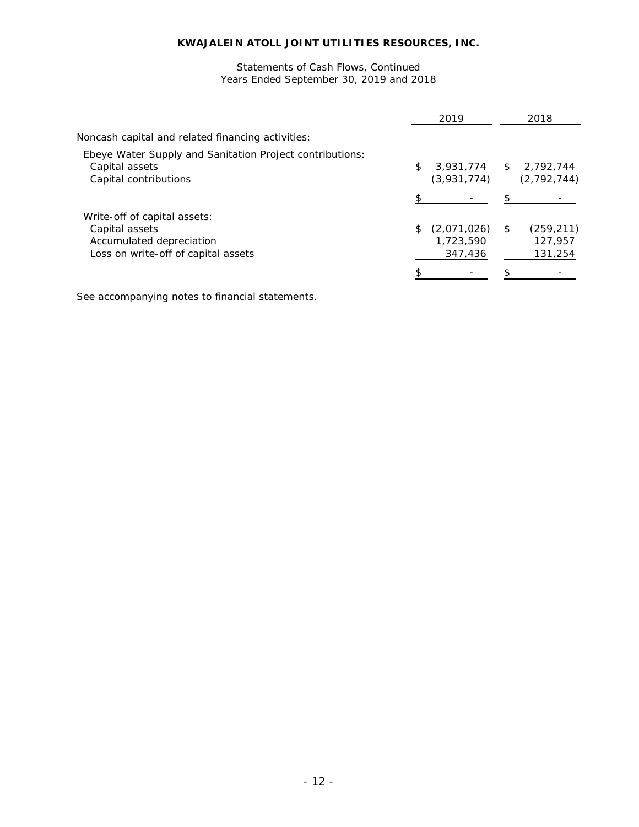## Years Ended September 30, 2019 and 2018 Statements of Cash Flows, Continued

|                                                                                                                   |    | 2019                                |     | 2018                             |
|-------------------------------------------------------------------------------------------------------------------|----|-------------------------------------|-----|----------------------------------|
| Noncash capital and related financing activities:                                                                 |    |                                     |     |                                  |
| Ebeye Water Supply and Sanitation Project contributions:<br>Capital assets<br>Capital contributions               | \$ | 3,931,774<br>(3,931,774)            | \$  | 2,792,744<br>(2, 792, 744)       |
|                                                                                                                   |    |                                     | \$. |                                  |
| Write-off of capital assets:<br>Capital assets<br>Accumulated depreciation<br>Loss on write-off of capital assets | S. | (2,071,026)<br>1,723,590<br>347,436 | \$  | (259, 211)<br>127.957<br>131,254 |
|                                                                                                                   |    |                                     |     |                                  |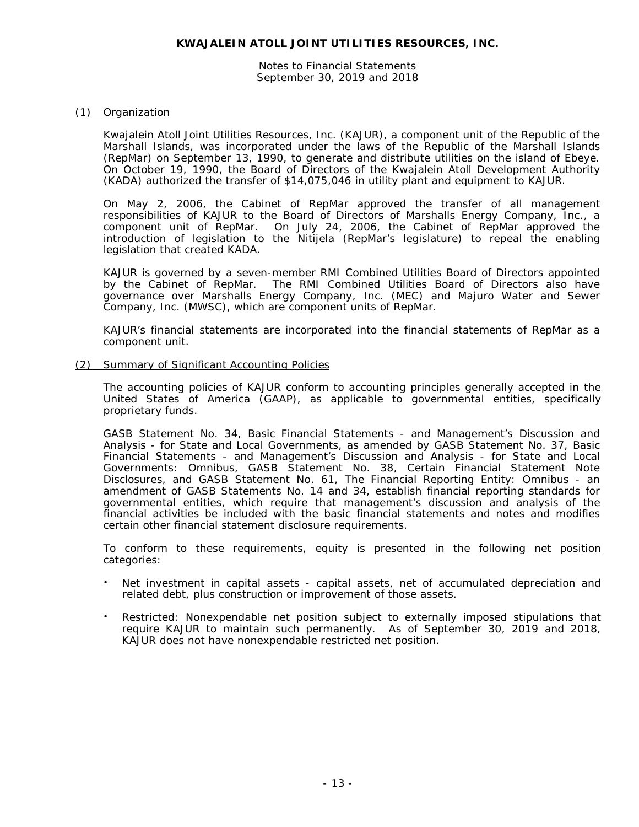Notes to Financial Statements September 30, 2019 and 2018

#### (1) Organization

Kwajalein Atoll Joint Utilities Resources, Inc. (KAJUR), a component unit of the Republic of the Marshall Islands, was incorporated under the laws of the Republic of the Marshall Islands (RepMar) on September 13, 1990, to generate and distribute utilities on the island of Ebeye. On October 19, 1990, the Board of Directors of the Kwajalein Atoll Development Authority (KADA) authorized the transfer of \$14,075,046 in utility plant and equipment to KAJUR.

On May 2, 2006, the Cabinet of RepMar approved the transfer of all management responsibilities of KAJUR to the Board of Directors of Marshalls Energy Company, Inc., a component unit of RepMar. On July 24, 2006, the Cabinet of RepMar approved the introduction of legislation to the Nitijela (RepMar's legislature) to repeal the enabling legislation that created KADA.

KAJUR is governed by a seven-member RMI Combined Utilities Board of Directors appointed by the Cabinet of RepMar. The RMI Combined Utilities Board of Directors also have governance over Marshalls Energy Company, Inc. (MEC) and Majuro Water and Sewer Company, Inc. (MWSC), which are component units of RepMar.

KAJUR's financial statements are incorporated into the financial statements of RepMar as a component unit.

#### (2) Summary of Significant Accounting Policies

The accounting policies of KAJUR conform to accounting principles generally accepted in the United States of America (GAAP), as applicable to governmental entities, specifically proprietary funds.

GASB Statement No. 34, *Basic Financial Statements - and Management's Discussion and Analysis - for State and Local Governments*, as amended by GASB Statement No. 37, *Basic Financial Statements - and Management's Discussion and Analysis - for State and Local Governments: Omnibus*, GASB Statement No. 38, *Certain Financial Statement Note Disclosures*, and GASB Statement No. 61, *The Financial Reporting Entity: Omnibus - an amendment of GASB Statements No. 14 and 34,* establish financial reporting standards for governmental entities, which require that management's discussion and analysis of the financial activities be included with the basic financial statements and notes and modifies certain other financial statement disclosure requirements.

To conform to these requirements, equity is presented in the following net position categories:

- Net investment in capital assets capital assets, net of accumulated depreciation and related debt, plus construction or improvement of those assets.
- Restricted: Nonexpendable net position subject to externally imposed stipulations that require KAJUR to maintain such permanently. As of September 30, 2019 and 2018, KAJUR does not have nonexpendable restricted net position.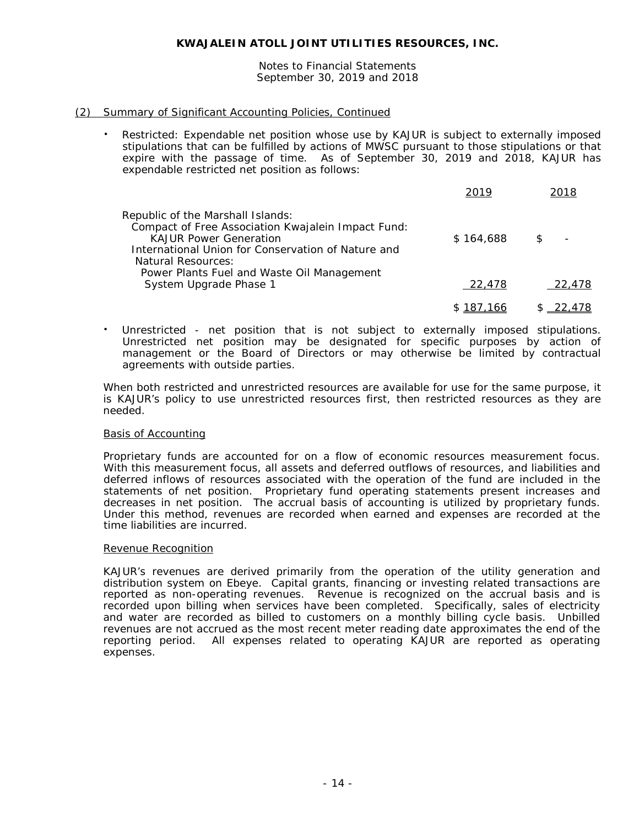Notes to Financial Statements September 30, 2019 and 2018

## (2) Summary of Significant Accounting Policies, Continued

 Restricted: Expendable net position whose use by KAJUR is subject to externally imposed stipulations that can be fulfilled by actions of MWSC pursuant to those stipulations or that expire with the passage of time. As of September 30, 2019 and 2018, KAJUR has expendable restricted net position as follows:

|                                                                                                                                                                                                                                                    | 2019      | 2018                 |
|----------------------------------------------------------------------------------------------------------------------------------------------------------------------------------------------------------------------------------------------------|-----------|----------------------|
| Republic of the Marshall Islands:<br>Compact of Free Association Kwajalein Impact Fund:<br><b>KAJUR Power Generation</b><br>International Union for Conservation of Nature and<br>Natural Resources:<br>Power Plants Fuel and Waste Oil Management | \$164,688 | \$<br>$\blacksquare$ |
| System Upgrade Phase 1                                                                                                                                                                                                                             | 22,478    | 22,478               |
|                                                                                                                                                                                                                                                    | 187.166   | \$ 22,478            |

 Unrestricted - net position that is not subject to externally imposed stipulations. Unrestricted net position may be designated for specific purposes by action of management or the Board of Directors or may otherwise be limited by contractual agreements with outside parties.

When both restricted and unrestricted resources are available for use for the same purpose, it is KAJUR's policy to use unrestricted resources first, then restricted resources as they are needed.

## Basis of Accounting

Proprietary funds are accounted for on a flow of economic resources measurement focus. With this measurement focus, all assets and deferred outflows of resources, and liabilities and deferred inflows of resources associated with the operation of the fund are included in the statements of net position. Proprietary fund operating statements present increases and decreases in net position. The accrual basis of accounting is utilized by proprietary funds. Under this method, revenues are recorded when earned and expenses are recorded at the time liabilities are incurred.

## Revenue Recognition

KAJUR's revenues are derived primarily from the operation of the utility generation and distribution system on Ebeye. Capital grants, financing or investing related transactions are reported as non-operating revenues. Revenue is recognized on the accrual basis and is recorded upon billing when services have been completed. Specifically, sales of electricity and water are recorded as billed to customers on a monthly billing cycle basis. Unbilled revenues are not accrued as the most recent meter reading date approximates the end of the reporting period. All expenses related to operating KAJUR are reported as operating expenses.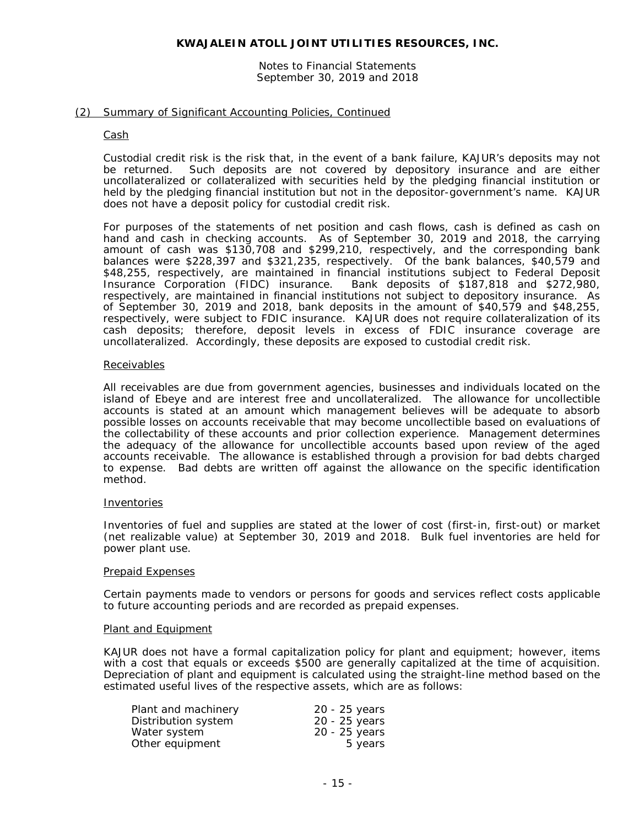#### Notes to Financial Statements September 30, 2019 and 2018

## (2) Summary of Significant Accounting Policies, Continued

#### Cash

Custodial credit risk is the risk that, in the event of a bank failure, KAJUR's deposits may not be returned. Such deposits are not covered by depository insurance and are either uncollateralized or collateralized with securities held by the pledging financial institution or held by the pledging financial institution but not in the depositor-government's name. KAJUR does not have a deposit policy for custodial credit risk.

For purposes of the statements of net position and cash flows, cash is defined as cash on hand and cash in checking accounts. As of September 30, 2019 and 2018, the carrying amount of cash was \$130,708 and \$299,210, respectively, and the corresponding bank balances were \$228,397 and \$321,235, respectively. Of the bank balances, \$40,579 and \$48,255, respectively, are maintained in financial institutions subject to Federal Deposit Insurance Corporation (FIDC) insurance. Bank deposits of \$187,818 and \$272,980. Bank deposits of \$187,818 and \$272,980, respectively, are maintained in financial institutions not subject to depository insurance. As of September 30, 2019 and 2018, bank deposits in the amount of \$40,579 and \$48,255, respectively, were subject to FDIC insurance. KAJUR does not require collateralization of its cash deposits; therefore, deposit levels in excess of FDIC insurance coverage are uncollateralized. Accordingly, these deposits are exposed to custodial credit risk.

#### Receivables

All receivables are due from government agencies, businesses and individuals located on the island of Ebeye and are interest free and uncollateralized. The allowance for uncollectible accounts is stated at an amount which management believes will be adequate to absorb possible losses on accounts receivable that may become uncollectible based on evaluations of the collectability of these accounts and prior collection experience. Management determines the adequacy of the allowance for uncollectible accounts based upon review of the aged accounts receivable. The allowance is established through a provision for bad debts charged to expense. Bad debts are written off against the allowance on the specific identification method.

#### Inventories

Inventories of fuel and supplies are stated at the lower of cost (first-in, first-out) or market (net realizable value) at September 30, 2019 and 2018. Bulk fuel inventories are held for power plant use.

#### Prepaid Expenses

Certain payments made to vendors or persons for goods and services reflect costs applicable to future accounting periods and are recorded as prepaid expenses.

#### Plant and Equipment

KAJUR does not have a formal capitalization policy for plant and equipment; however, items with a cost that equals or exceeds \$500 are generally capitalized at the time of acquisition. Depreciation of plant and equipment is calculated using the straight-line method based on the estimated useful lives of the respective assets, which are as follows:

| Plant and machinery | 20 - 25 years |
|---------------------|---------------|
| Distribution system | 20 - 25 years |
| Water system        | 20 - 25 years |
| Other equipment     | 5 years       |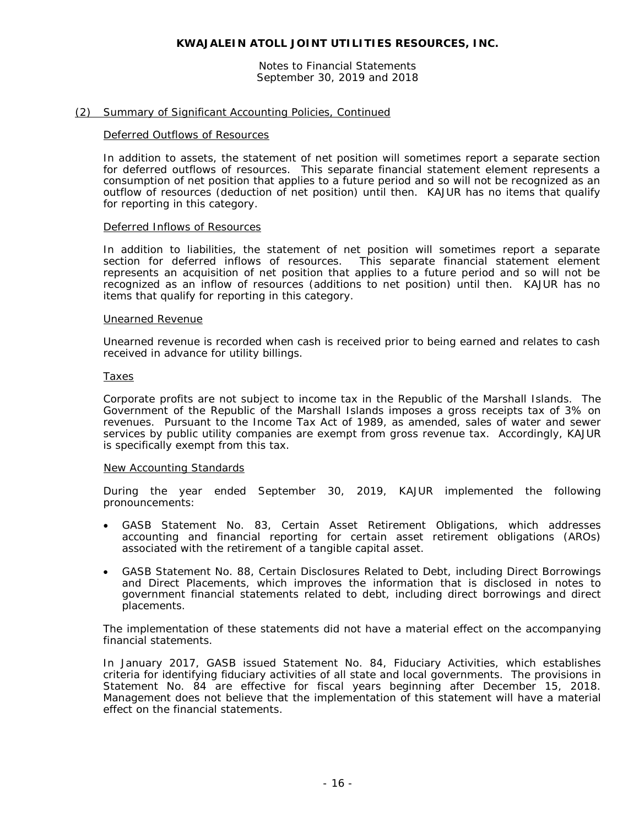Notes to Financial Statements September 30, 2019 and 2018

#### (2) Summary of Significant Accounting Policies, Continued

#### Deferred Outflows of Resources

In addition to assets, the statement of net position will sometimes report a separate section for deferred outflows of resources. This separate financial statement element represents a consumption of net position that applies to a future period and so will not be recognized as an outflow of resources (deduction of net position) until then. KAJUR has no items that qualify for reporting in this category.

#### Deferred Inflows of Resources

In addition to liabilities, the statement of net position will sometimes report a separate section for deferred inflows of resources. This separate financial statement element represents an acquisition of net position that applies to a future period and so will not be recognized as an inflow of resources (additions to net position) until then. KAJUR has no items that qualify for reporting in this category.

#### Unearned Revenue

Unearned revenue is recorded when cash is received prior to being earned and relates to cash received in advance for utility billings.

#### Taxes

Corporate profits are not subject to income tax in the Republic of the Marshall Islands. The Government of the Republic of the Marshall Islands imposes a gross receipts tax of 3% on revenues. Pursuant to the Income Tax Act of 1989, as amended, sales of water and sewer services by public utility companies are exempt from gross revenue tax. Accordingly, KAJUR is specifically exempt from this tax.

#### New Accounting Standards

During the year ended September 30, 2019, KAJUR implemented the following pronouncements:

- GASB Statement No. 83, *Certain Asset Retirement Obligations*, which addresses accounting and financial reporting for certain asset retirement obligations (AROs) associated with the retirement of a tangible capital asset.
- GASB Statement No. 88, *Certain Disclosures Related to Debt, including Direct Borrowings and Direct Placements*, which improves the information that is disclosed in notes to government financial statements related to debt, including direct borrowings and direct placements.

The implementation of these statements did not have a material effect on the accompanying financial statements.

In January 2017, GASB issued Statement No. 84, *Fiduciary Activities*, which establishes criteria for identifying fiduciary activities of all state and local governments. The provisions in Statement No. 84 are effective for fiscal years beginning after December 15, 2018. Management does not believe that the implementation of this statement will have a material effect on the financial statements.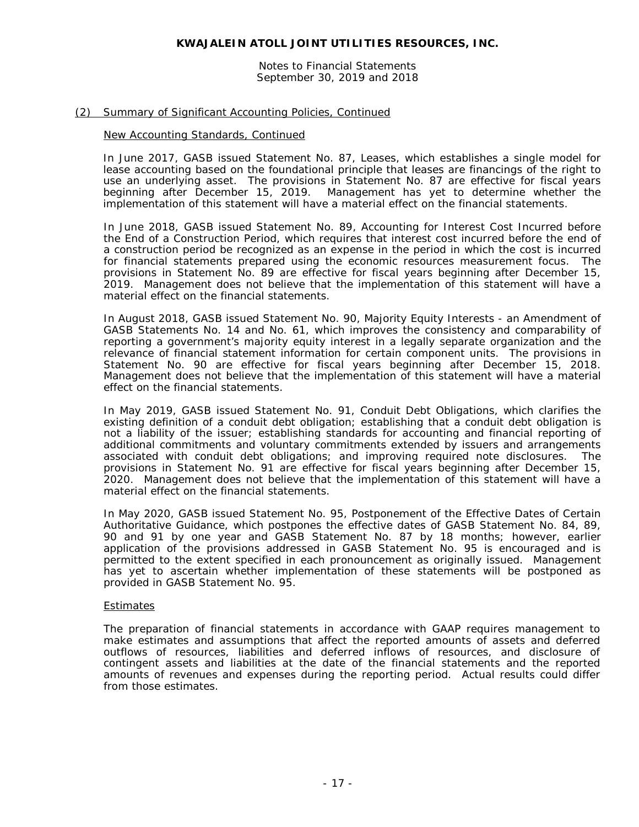Notes to Financial Statements September 30, 2019 and 2018

# (2) Summary of Significant Accounting Policies, Continued

## New Accounting Standards, Continued

In June 2017, GASB issued Statement No. 87, *Leases*, which establishes a single model for lease accounting based on the foundational principle that leases are financings of the right to use an underlying asset. The provisions in Statement No. 87 are effective for fiscal years beginning after December 15, 2019. Management has yet to determine whether the implementation of this statement will have a material effect on the financial statements.

In June 2018, GASB issued Statement No. 89, *Accounting for Interest Cost Incurred before the End of a Construction Period*, which requires that interest cost incurred before the end of a construction period be recognized as an expense in the period in which the cost is incurred for financial statements prepared using the economic resources measurement focus. The provisions in Statement No. 89 are effective for fiscal years beginning after December 15, 2019. Management does not believe that the implementation of this statement will have a material effect on the financial statements.

In August 2018, GASB issued Statement No. 90, *Majority Equity Interests - an Amendment of GASB Statements No. 14 and No. 61,* which improves the consistency and comparability of reporting a government's majority equity interest in a legally separate organization and the relevance of financial statement information for certain component units. The provisions in Statement No. 90 are effective for fiscal years beginning after December 15, 2018. Management does not believe that the implementation of this statement will have a material effect on the financial statements.

In May 2019, GASB issued Statement No. 91, *Conduit Debt Obligations*, which clarifies the existing definition of a conduit debt obligation; establishing that a conduit debt obligation is not a liability of the issuer; establishing standards for accounting and financial reporting of additional commitments and voluntary commitments extended by issuers and arrangements associated with conduit debt obligations; and improving required note disclosures. The provisions in Statement No. 91 are effective for fiscal years beginning after December 15, 2020. Management does not believe that the implementation of this statement will have a material effect on the financial statements.

In May 2020, GASB issued Statement No. 95, *Postponement of the Effective Dates of Certain Authoritative Guidance*, which postpones the effective dates of GASB Statement No. 84, 89, 90 and 91 by one year and GASB Statement No. 87 by 18 months; however, earlier application of the provisions addressed in GASB Statement No. 95 is encouraged and is permitted to the extent specified in each pronouncement as originally issued. Management has yet to ascertain whether implementation of these statements will be postponed as provided in GASB Statement No. 95.

## Estimates

The preparation of financial statements in accordance with GAAP requires management to make estimates and assumptions that affect the reported amounts of assets and deferred outflows of resources, liabilities and deferred inflows of resources, and disclosure of contingent assets and liabilities at the date of the financial statements and the reported amounts of revenues and expenses during the reporting period. Actual results could differ from those estimates.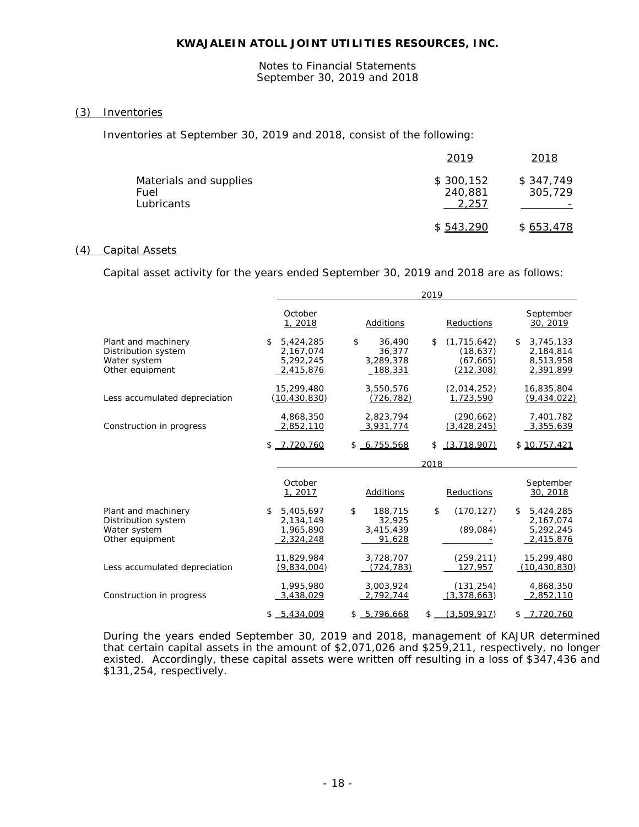Notes to Financial Statements September 30, 2019 and 2018

# (3) Inventories

Inventories at September 30, 2019 and 2018, consist of the following:

|                                              | 2019                          | 2018                 |
|----------------------------------------------|-------------------------------|----------------------|
| Materials and supplies<br>Fuel<br>Lubricants | \$300,152<br>240.881<br>2.257 | \$347,749<br>305,729 |
|                                              | \$543.290                     | \$653,478            |

# (4) Capital Assets

Capital asset activity for the years ended September 30, 2019 and 2018 are as follows:

|                                                                               | 2019                                                   |                                                |                                                             |                                                         |
|-------------------------------------------------------------------------------|--------------------------------------------------------|------------------------------------------------|-------------------------------------------------------------|---------------------------------------------------------|
|                                                                               | October<br>1, 2018                                     | Additions                                      | Reductions                                                  | September<br>30, 2019                                   |
| Plant and machinery<br>Distribution system<br>Water system<br>Other equipment | \$<br>5,424,285<br>2,167,074<br>5,292,245<br>2,415,876 | \$<br>36,490<br>36,377<br>3,289,378<br>188,331 | (1, 715, 642)<br>\$<br>(18, 637)<br>(67, 665)<br>(212, 308) | 3,745,133<br>\$.<br>2,184,814<br>8,513,958<br>2,391,899 |
| Less accumulated depreciation                                                 | 15,299,480<br>(10, 430, 830)                           | 3,550,576<br>(726, 782)                        | (2,014,252)<br>1,723,590                                    | 16,835,804<br>(9, 434, 022)                             |
| Construction in progress                                                      | 4,868,350<br>2,852,110                                 | 2,823,794<br>3,931,774                         | (290, 662)<br>(3, 428, 245)                                 | 7,401,782<br>3,355,639                                  |
|                                                                               | $$ -7.720.760$                                         | \$6.755.568                                    | (3.718.907)<br>\$                                           | \$10,757,421                                            |
|                                                                               |                                                        |                                                | 2018                                                        |                                                         |
|                                                                               | October<br>1, 2017                                     | <b>Additions</b>                               | Reductions                                                  | September<br>30, 2018                                   |
| Plant and machinery<br>Distribution system<br>Water system<br>Other equipment | \$<br>5,405,697<br>2,134,149<br>1,965,890<br>2,324,248 | \$<br>188,715<br>32,925<br>3,415,439<br>91,628 | \$<br>(170, 127)<br>(89,084)                                | \$<br>5,424,285<br>2,167,074<br>5,292,245<br>2,415,876  |
| Less accumulated depreciation                                                 | 11,829,984<br>(9,834,004)                              | 3,728,707<br>(724, 783)                        | (259, 211)<br>127.957                                       | 15,299,480<br>(10, 430, 830)                            |
| Construction in progress                                                      | 1,995,980<br>3,438,029                                 | 3,003,924<br>2,792,744                         | (131, 254)<br>(3,378,663)                                   | 4,868,350<br>2,852,110                                  |
|                                                                               | $$ -5.434.009$                                         | \$ 5.796.668                                   | \$<br>(3.509.917)                                           | $$ -7.720.760$                                          |

During the years ended September 30, 2019 and 2018, management of KAJUR determined that certain capital assets in the amount of \$2,071,026 and \$259,211, respectively, no longer existed. Accordingly, these capital assets were written off resulting in a loss of \$347,436 and \$131,254, respectively.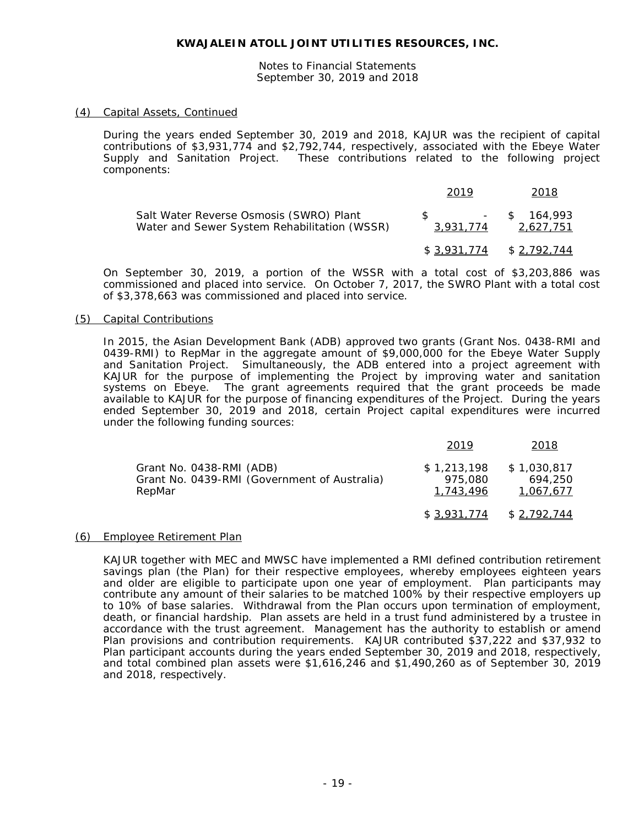Notes to Financial Statements September 30, 2019 and 2018

## (4) Capital Assets, Continued

During the years ended September 30, 2019 and 2018, KAJUR was the recipient of capital contributions of \$3,931,774 and \$2,792,744, respectively, associated with the Ebeye Water Supply and Sanitation Project. These contributions related to the following project components:

|                                                                                         | 2019                                         | 2018                        |
|-----------------------------------------------------------------------------------------|----------------------------------------------|-----------------------------|
| Salt Water Reverse Osmosis (SWRO) Plant<br>Water and Sewer System Rehabilitation (WSSR) | $\mathcal{S}$ and $\mathcal{S}$<br>3,931,774 | $-$ \$ 164.993<br>2,627,751 |
|                                                                                         |                                              | $$3,931,774$ $$2,792,744$   |

On September 30, 2019, a portion of the WSSR with a total cost of \$3,203,886 was commissioned and placed into service. On October 7, 2017, the SWRO Plant with a total cost of \$3,378,663 was commissioned and placed into service.

## (5) Capital Contributions

In 2015, the Asian Development Bank (ADB) approved two grants (Grant Nos. 0438-RMI and 0439-RMI) to RepMar in the aggregate amount of \$9,000,000 for the Ebeye Water Supply and Sanitation Project. Simultaneously, the ADB entered into a project agreement with KAJUR for the purpose of implementing the Project by improving water and sanitation systems on Ebeye. The grant agreements required that the grant proceeds be made available to KAJUR for the purpose of financing expenditures of the Project. During the years ended September 30, 2019 and 2018, certain Project capital expenditures were incurred under the following funding sources:

|                                                                                    | 2019                                | 2018                                |
|------------------------------------------------------------------------------------|-------------------------------------|-------------------------------------|
| Grant No. 0438-RMI (ADB)<br>Grant No. 0439-RMI (Government of Australia)<br>RepMar | \$1,213,198<br>975,080<br>1,743,496 | \$1,030,817<br>694.250<br>1,067,677 |
|                                                                                    | \$3,931,774                         | \$2,792,744                         |

## (6) Employee Retirement Plan

KAJUR together with MEC and MWSC have implemented a RMI defined contribution retirement savings plan (the Plan) for their respective employees, whereby employees eighteen years and older are eligible to participate upon one year of employment. Plan participants may contribute any amount of their salaries to be matched 100% by their respective employers up to 10% of base salaries. Withdrawal from the Plan occurs upon termination of employment, death, or financial hardship. Plan assets are held in a trust fund administered by a trustee in accordance with the trust agreement. Management has the authority to establish or amend Plan provisions and contribution requirements. KAJUR contributed \$37,222 and \$37,932 to Plan participant accounts during the years ended September 30, 2019 and 2018, respectively, and total combined plan assets were \$1,616,246 and \$1,490,260 as of September 30, 2019 and 2018, respectively.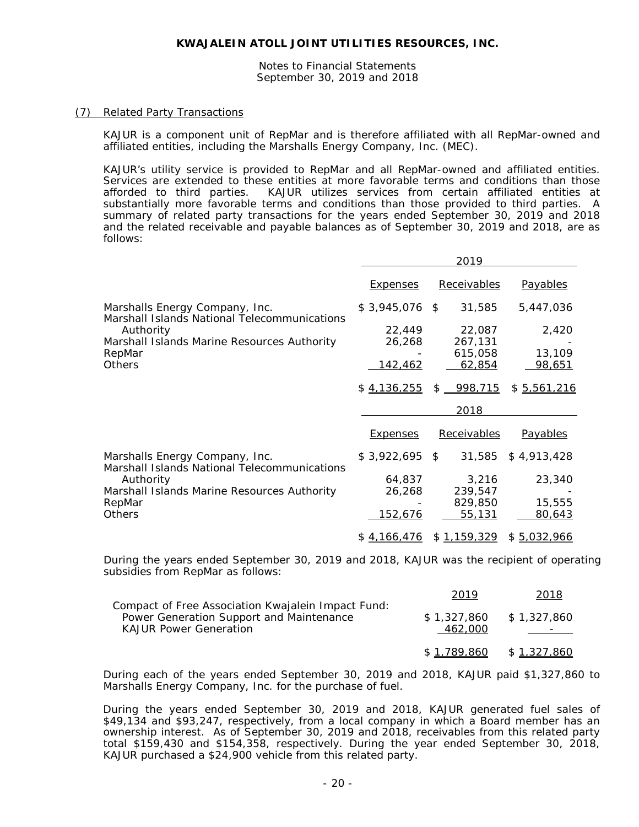Notes to Financial Statements September 30, 2019 and 2018

#### (7) Related Party Transactions

KAJUR is a component unit of RepMar and is therefore affiliated with all RepMar-owned and affiliated entities, including the Marshalls Energy Company, Inc. (MEC).

KAJUR's utility service is provided to RepMar and all RepMar-owned and affiliated entities. Services are extended to these entities at more favorable terms and conditions than those afforded to third parties. KAJUR utilizes services from certain affiliated entities at substantially more favorable terms and conditions than those provided to third parties. A summary of related party transactions for the years ended September 30, 2019 and 2018 and the related receivable and payable balances as of September 30, 2019 and 2018, are as follows:

|                                                                                |                  | 2019             |                 |
|--------------------------------------------------------------------------------|------------------|------------------|-----------------|
|                                                                                | <b>Expenses</b>  | Receivables      | <b>Payables</b> |
| Marshalls Energy Company, Inc.<br>Marshall Islands National Telecommunications | $$3,945,076$ \$  | 31,585           | 5,447,036       |
| Authority                                                                      | 22,449           | 22,087           | 2,420           |
| Marshall Islands Marine Resources Authority                                    | 26,268           | 267,131          |                 |
| RepMar                                                                         |                  | 615,058          | 13,109          |
| <b>Others</b>                                                                  | <u>142,462</u>   | 62,854           | 98,651          |
|                                                                                | \$4,136,255      | $$ -998,715$     | \$5,561,216     |
|                                                                                |                  | 2018             |                 |
|                                                                                | <b>Expenses</b>  | Receivables      | <b>Payables</b> |
| Marshalls Energy Company, Inc.<br>Marshall Islands National Telecommunications | \$3,922,695      | \$<br>31,585     | \$4,913,428     |
|                                                                                |                  |                  |                 |
|                                                                                |                  |                  |                 |
| Authority                                                                      | 64,837<br>26,268 | 3,216<br>239,547 | 23,340          |
| Marshall Islands Marine Resources Authority<br>RepMar                          |                  | 829,850          | 15,555          |
| <b>Others</b>                                                                  | <u>152,676</u>   | 55,131           | 80,643          |

During the years ended September 30, 2019 and 2018, KAJUR was the recipient of operating subsidies from RepMar as follows:

|                                                                                                                                 | 2019                                 | 2018        |
|---------------------------------------------------------------------------------------------------------------------------------|--------------------------------------|-------------|
| Compact of Free Association Kwajalein Impact Fund:<br>Power Generation Support and Maintenance<br><b>KAJUR Power Generation</b> | $$1,327.860$ $$1,327.860$<br>462.000 |             |
|                                                                                                                                 | \$1.789.860                          | \$1,327,860 |

During each of the years ended September 30, 2019 and 2018, KAJUR paid \$1,327,860 to Marshalls Energy Company, Inc. for the purchase of fuel.

During the years ended September 30, 2019 and 2018, KAJUR generated fuel sales of \$49,134 and \$93,247, respectively, from a local company in which a Board member has an ownership interest. As of September 30, 2019 and 2018, receivables from this related party total \$159,430 and \$154,358, respectively. During the year ended September 30, 2018, KAJUR purchased a \$24,900 vehicle from this related party.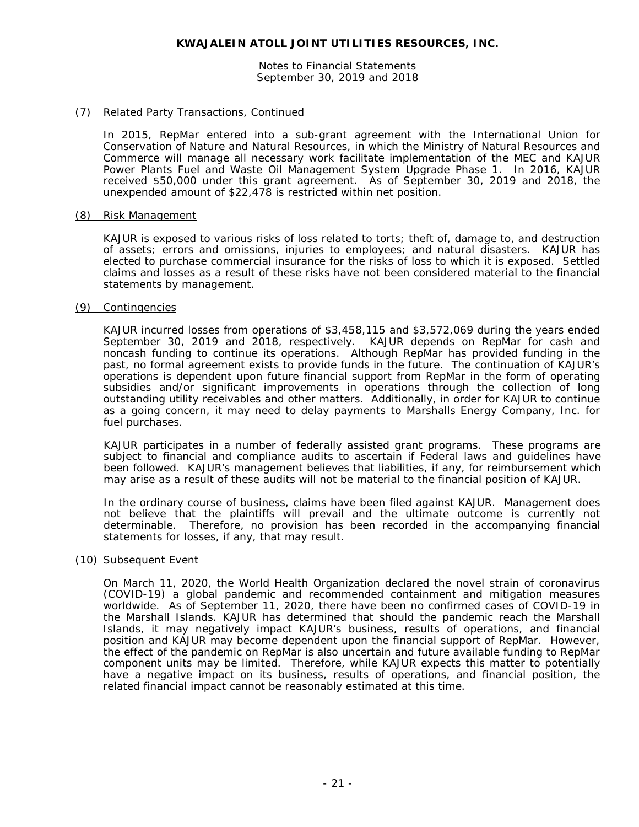Notes to Financial Statements September 30, 2019 and 2018

# (7) Related Party Transactions, Continued

In 2015, RepMar entered into a sub-grant agreement with the International Union for Conservation of Nature and Natural Resources, in which the Ministry of Natural Resources and Commerce will manage all necessary work facilitate implementation of the MEC and KAJUR Power Plants Fuel and Waste Oil Management System Upgrade Phase 1. In 2016, KAJUR received \$50,000 under this grant agreement. As of September 30, 2019 and 2018, the unexpended amount of \$22,478 is restricted within net position.

#### (8) Risk Management

KAJUR is exposed to various risks of loss related to torts; theft of, damage to, and destruction of assets; errors and omissions, injuries to employees; and natural disasters. KAJUR has elected to purchase commercial insurance for the risks of loss to which it is exposed. Settled claims and losses as a result of these risks have not been considered material to the financial statements by management.

#### (9) Contingencies

KAJUR incurred losses from operations of \$3,458,115 and \$3,572,069 during the years ended September 30, 2019 and 2018, respectively. KAJUR depends on RepMar for cash and noncash funding to continue its operations. Although RepMar has provided funding in the past, no formal agreement exists to provide funds in the future. The continuation of KAJUR's operations is dependent upon future financial support from RepMar in the form of operating subsidies and/or significant improvements in operations through the collection of long outstanding utility receivables and other matters. Additionally, in order for KAJUR to continue as a going concern, it may need to delay payments to Marshalls Energy Company, Inc. for fuel purchases.

KAJUR participates in a number of federally assisted grant programs. These programs are subject to financial and compliance audits to ascertain if Federal laws and guidelines have been followed. KAJUR's management believes that liabilities, if any, for reimbursement which may arise as a result of these audits will not be material to the financial position of KAJUR.

In the ordinary course of business, claims have been filed against KAJUR. Management does not believe that the plaintiffs will prevail and the ultimate outcome is currently not determinable. Therefore, no provision has been recorded in the accompanying financial statements for losses, if any, that may result.

## (10) Subsequent Event

On March 11, 2020, the World Health Organization declared the novel strain of coronavirus (COVID-19) a global pandemic and recommended containment and mitigation measures worldwide. As of September 11, 2020, there have been no confirmed cases of COVID-19 in the Marshall Islands. KAJUR has determined that should the pandemic reach the Marshall Islands, it may negatively impact KAJUR's business, results of operations, and financial position and KAJUR may become dependent upon the financial support of RepMar. However, the effect of the pandemic on RepMar is also uncertain and future available funding to RepMar component units may be limited. Therefore, while KAJUR expects this matter to potentially have a negative impact on its business, results of operations, and financial position, the related financial impact cannot be reasonably estimated at this time.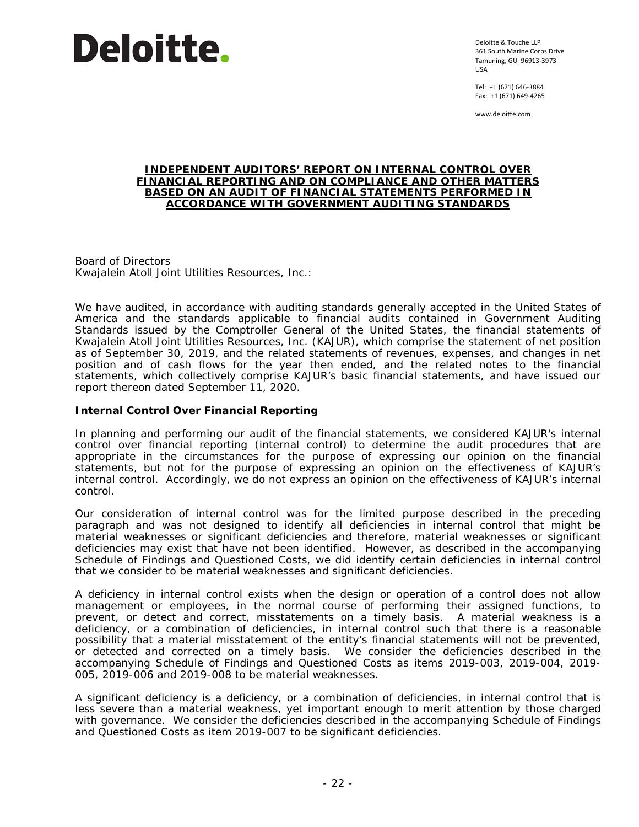

Deloitte & Touche LLP 361 South Marine Corps Drive Tamuning, GU 96913-3973 USA

Tel: +1 (671) 646-3884 Fax: +1 (671) 649-4265

www.deloitte.com

#### **INDEPENDENT AUDITORS' REPORT ON INTERNAL CONTROL OVER FINANCIAL REPORTING AND ON COMPLIANCE AND OTHER MATTERS BASED ON AN AUDIT OF FINANCIAL STATEMENTS PERFORMED IN ACCORDANCE WITH** *GOVERNMENT AUDITING STANDARDS*

Board of Directors Kwajalein Atoll Joint Utilities Resources, Inc.:

We have audited, in accordance with auditing standards generally accepted in the United States of America and the standards applicable to financial audits contained in *Government Auditing Standards* issued by the Comptroller General of the United States, the financial statements of Kwajalein Atoll Joint Utilities Resources, Inc. (KAJUR), which comprise the statement of net position as of September 30, 2019, and the related statements of revenues, expenses, and changes in net position and of cash flows for the year then ended, and the related notes to the financial statements, which collectively comprise KAJUR's basic financial statements, and have issued our report thereon dated September 11, 2020.

# **Internal Control Over Financial Reporting**

In planning and performing our audit of the financial statements, we considered KAJUR's internal control over financial reporting (internal control) to determine the audit procedures that are appropriate in the circumstances for the purpose of expressing our opinion on the financial statements, but not for the purpose of expressing an opinion on the effectiveness of KAJUR's internal control. Accordingly, we do not express an opinion on the effectiveness of KAJUR's internal control.

Our consideration of internal control was for the limited purpose described in the preceding paragraph and was not designed to identify all deficiencies in internal control that might be material weaknesses or significant deficiencies and therefore, material weaknesses or significant deficiencies may exist that have not been identified. However, as described in the accompanying Schedule of Findings and Questioned Costs, we did identify certain deficiencies in internal control that we consider to be material weaknesses and significant deficiencies.

A *deficiency in internal control* exists when the design or operation of a control does not allow management or employees, in the normal course of performing their assigned functions, to prevent, or detect and correct, misstatements on a timely basis. A material weakness is a deficiency, or a combination of deficiencies, in internal control such that there is a reasonable possibility that a material misstatement of the entity's financial statements will not be prevented, or detected and corrected on a timely basis. We consider the deficiencies described in the accompanying Schedule of Findings and Questioned Costs as items 2019-003, 2019-004, 2019- 005, 2019-006 and 2019-008 to be material weaknesses.

A *significant deficiency* is a deficiency, or a combination of deficiencies, in internal control that is less severe than a material weakness, yet important enough to merit attention by those charged with governance. We consider the deficiencies described in the accompanying Schedule of Findings and Questioned Costs as item 2019-007 to be significant deficiencies.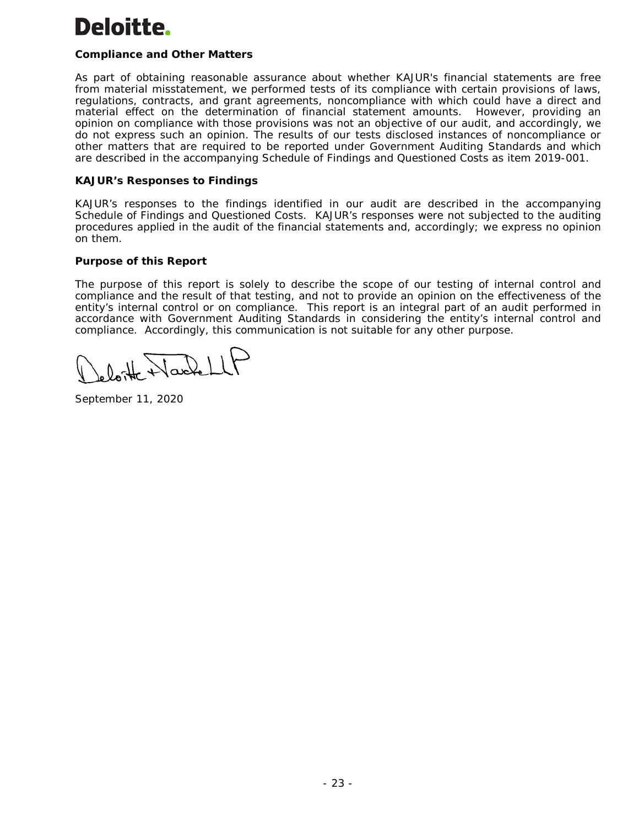# Deloitte.

# **Compliance and Other Matters**

As part of obtaining reasonable assurance about whether KAJUR's financial statements are free from material misstatement, we performed tests of its compliance with certain provisions of laws, regulations, contracts, and grant agreements, noncompliance with which could have a direct and material effect on the determination of financial statement amounts. However, providing an opinion on compliance with those provisions was not an objective of our audit, and accordingly, we do not express such an opinion. The results of our tests disclosed instances of noncompliance or other matters that are required to be reported under *Government Auditing Standards* and which are described in the accompanying Schedule of Findings and Questioned Costs as item 2019-001.

# **KAJUR's Responses to Findings**

KAJUR's responses to the findings identified in our audit are described in the accompanying Schedule of Findings and Questioned Costs. KAJUR's responses were not subjected to the auditing procedures applied in the audit of the financial statements and, accordingly; we express no opinion on them.

# **Purpose of this Report**

The purpose of this report is solely to describe the scope of our testing of internal control and compliance and the result of that testing, and not to provide an opinion on the effectiveness of the entity's internal control or on compliance. This report is an integral part of an audit performed in accordance with *Government Auditing Standards* in considering the entity's internal control and compliance. Accordingly, this communication is not suitable for any other purpose.

Onthe Wardel

September 11, 2020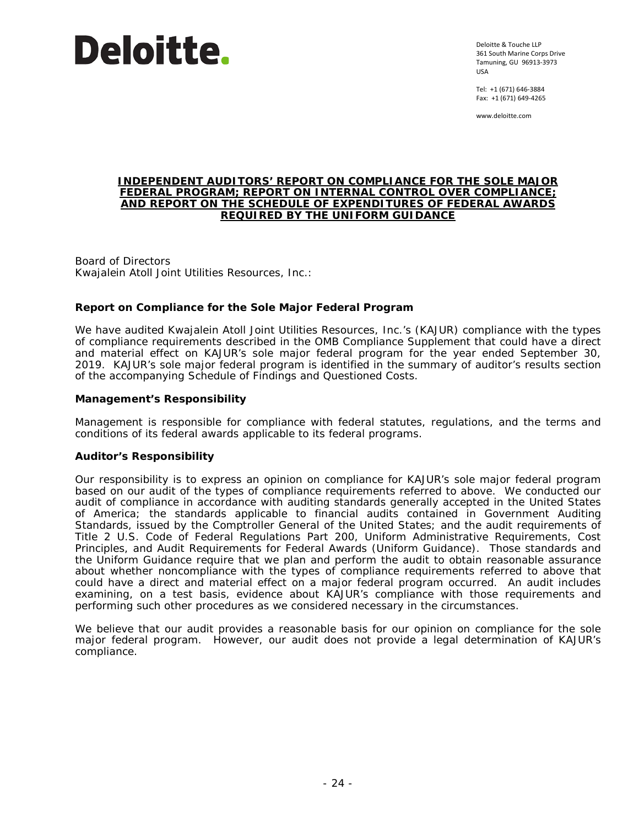

Deloitte & Touche LLP 361 South Marine Corps Drive Tamuning, GU 96913-3973 USA

Tel: +1 (671) 646-3884 Fax: +1 (671) 649-4265

www.deloitte.com

#### **INDEPENDENT AUDITORS' REPORT ON COMPLIANCE FOR THE SOLE MAJOR FEDERAL PROGRAM; REPORT ON INTERNAL CONTROL OVER COMPLIANCE; AND REPORT ON THE SCHEDULE OF EXPENDITURES OF FEDERAL AWARDS REQUIRED BY THE UNIFORM GUIDANCE**

Board of Directors Kwajalein Atoll Joint Utilities Resources, Inc.:

# **Report on Compliance for the Sole Major Federal Program**

We have audited Kwajalein Atoll Joint Utilities Resources, Inc.'s (KAJUR) compliance with the types of compliance requirements described in the *OMB Compliance Supplement* that could have a direct and material effect on KAJUR's sole major federal program for the year ended September 30, 2019. KAJUR's sole major federal program is identified in the summary of auditor's results section of the accompanying Schedule of Findings and Questioned Costs.

# *Management's Responsibility*

Management is responsible for compliance with federal statutes, regulations, and the terms and conditions of its federal awards applicable to its federal programs.

## *Auditor's Responsibility*

Our responsibility is to express an opinion on compliance for KAJUR's sole major federal program based on our audit of the types of compliance requirements referred to above. We conducted our audit of compliance in accordance with auditing standards generally accepted in the United States of America; the standards applicable to financial audits contained in *Government Auditing Standards*, issued by the Comptroller General of the United States; and the audit requirements of Title 2 U.S. *Code of Federal Regulations* Part 200, *Uniform Administrative Requirements, Cost Principles, and Audit Requirements for Federal Awards* (Uniform Guidance). Those standards and the Uniform Guidance require that we plan and perform the audit to obtain reasonable assurance about whether noncompliance with the types of compliance requirements referred to above that could have a direct and material effect on a major federal program occurred. An audit includes examining, on a test basis, evidence about KAJUR's compliance with those requirements and performing such other procedures as we considered necessary in the circumstances.

We believe that our audit provides a reasonable basis for our opinion on compliance for the sole major federal program. However, our audit does not provide a legal determination of KAJUR's compliance.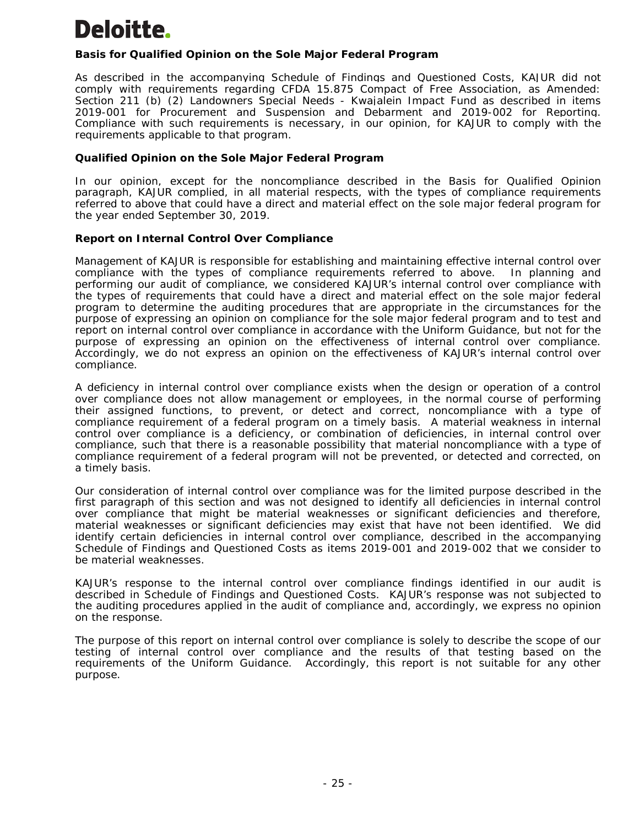# Deloitte.

# *Basis for Qualified Opinion on the Sole Major Federal Program*

As described in the accompanying Schedule of Findings and Questioned Costs, KAJUR did not comply with requirements regarding CFDA 15.875 Compact of Free Association, as Amended: Section 211 (b) (2) Landowners Special Needs - Kwajalein Impact Fund as described in items 2019-001 for Procurement and Suspension and Debarment and 2019-002 for Reporting. Compliance with such requirements is necessary, in our opinion, for KAJUR to comply with the requirements applicable to that program.

# *Qualified Opinion on the Sole Major Federal Program*

In our opinion, except for the noncompliance described in the Basis for Qualified Opinion paragraph, KAJUR complied, in all material respects, with the types of compliance requirements referred to above that could have a direct and material effect on the sole major federal program for the year ended September 30, 2019.

# **Report on Internal Control Over Compliance**

Management of KAJUR is responsible for establishing and maintaining effective internal control over compliance with the types of compliance requirements referred to above. In planning and performing our audit of compliance, we considered KAJUR's internal control over compliance with the types of requirements that could have a direct and material effect on the sole major federal program to determine the auditing procedures that are appropriate in the circumstances for the purpose of expressing an opinion on compliance for the sole major federal program and to test and report on internal control over compliance in accordance with the Uniform Guidance, but not for the purpose of expressing an opinion on the effectiveness of internal control over compliance. Accordingly, we do not express an opinion on the effectiveness of KAJUR's internal control over compliance.

A *deficiency in internal control over compliance* exists when the design or operation of a control over compliance does not allow management or employees, in the normal course of performing their assigned functions, to prevent, or detect and correct, noncompliance with a type of compliance requirement of a federal program on a timely basis. A *material weakness in internal control over compliance* is a deficiency, or combination of deficiencies, in internal control over compliance, such that there is a reasonable possibility that material noncompliance with a type of compliance requirement of a federal program will not be prevented, or detected and corrected, on a timely basis.

Our consideration of internal control over compliance was for the limited purpose described in the first paragraph of this section and was not designed to identify all deficiencies in internal control over compliance that might be material weaknesses or significant deficiencies and therefore, material weaknesses or significant deficiencies may exist that have not been identified. We did identify certain deficiencies in internal control over compliance, described in the accompanying Schedule of Findings and Questioned Costs as items 2019-001 and 2019-002 that we consider to be material weaknesses.

KAJUR's response to the internal control over compliance findings identified in our audit is described in Schedule of Findings and Questioned Costs. KAJUR's response was not subjected to the auditing procedures applied in the audit of compliance and, accordingly, we express no opinion on the response.

The purpose of this report on internal control over compliance is solely to describe the scope of our testing of internal control over compliance and the results of that testing based on the requirements of the Uniform Guidance. Accordingly, this report is not suitable for any other purpose.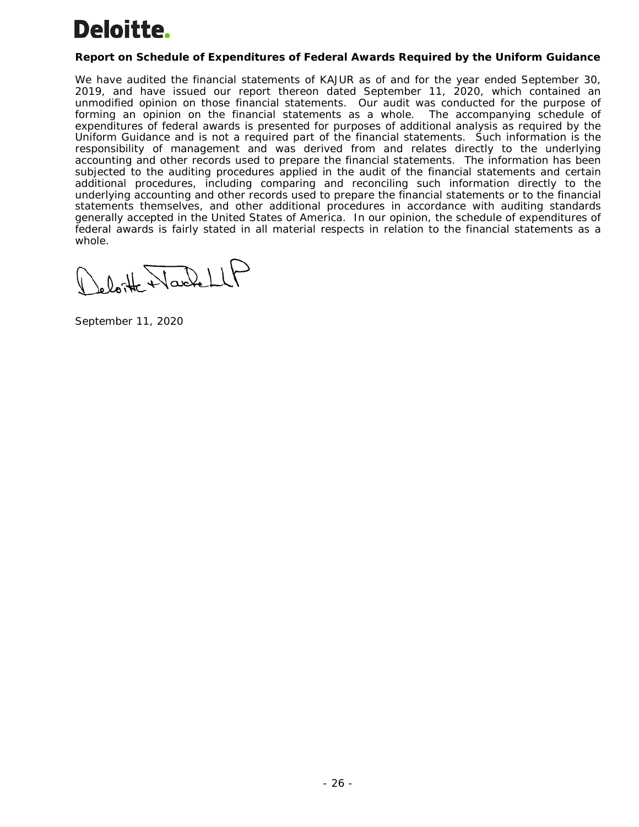# Deloitte.

# **Report on Schedule of Expenditures of Federal Awards Required by the Uniform Guidance**

We have audited the financial statements of KAJUR as of and for the year ended September 30, 2019, and have issued our report thereon dated September 11, 2020, which contained an unmodified opinion on those financial statements. Our audit was conducted for the purpose of forming an opinion on the financial statements as a whole. The accompanying schedule of expenditures of federal awards is presented for purposes of additional analysis as required by the Uniform Guidance and is not a required part of the financial statements. Such information is the responsibility of management and was derived from and relates directly to the underlying accounting and other records used to prepare the financial statements. The information has been subjected to the auditing procedures applied in the audit of the financial statements and certain additional procedures, including comparing and reconciling such information directly to the underlying accounting and other records used to prepare the financial statements or to the financial statements themselves, and other additional procedures in accordance with auditing standards generally accepted in the United States of America. In our opinion, the schedule of expenditures of federal awards is fairly stated in all material respects in relation to the financial statements as a whole.

oloite Narbell

September 11, 2020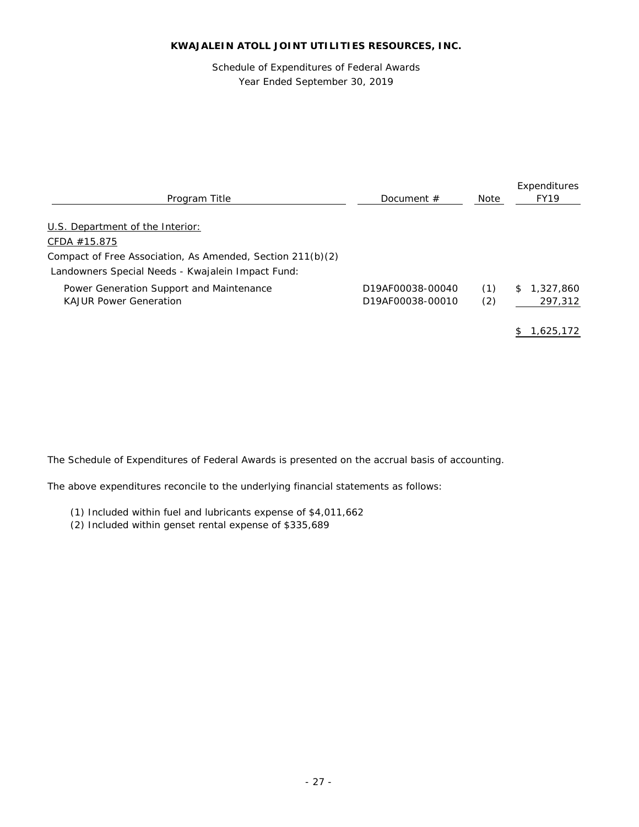Schedule of Expenditures of Federal Awards Year Ended September 30, 2019

| Program Title                                                                                                                     | Document $#$                         | Note       | Expenditures<br><b>FY19</b> |
|-----------------------------------------------------------------------------------------------------------------------------------|--------------------------------------|------------|-----------------------------|
| U.S. Department of the Interior:                                                                                                  |                                      |            |                             |
| CFDA $#15.875$<br>Compact of Free Association, As Amended, Section 211(b)(2)<br>Landowners Special Needs - Kwajalein Impact Fund: |                                      |            |                             |
| Power Generation Support and Maintenance<br><b>KAJUR Power Generation</b>                                                         | D19AF00038-00040<br>D19AF00038-00010 | (1)<br>(2) | 1,327,860<br>\$<br>297,312  |
|                                                                                                                                   |                                      |            | 1.625.172                   |

The Schedule of Expenditures of Federal Awards is presented on the accrual basis of accounting.

The above expenditures reconcile to the underlying financial statements as follows:

- (1) Included within fuel and lubricants expense of \$4,011,662
- (2) Included within genset rental expense of \$335,689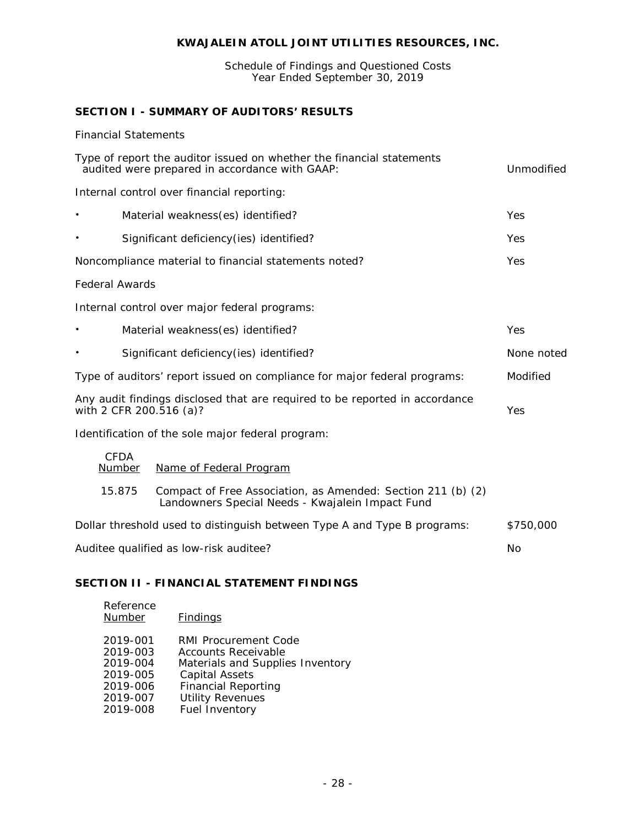Schedule of Findings and Questioned Costs Year Ended September 30, 2019

# **SECTION I - SUMMARY OF AUDITORS' RESULTS**

# *Financial Statements*

| Type of report the auditor issued on whether the financial statements<br>audited were prepared in accordance with GAAP: |                       |                                                                                                                  |            |
|-------------------------------------------------------------------------------------------------------------------------|-----------------------|------------------------------------------------------------------------------------------------------------------|------------|
|                                                                                                                         |                       | Internal control over financial reporting:                                                                       |            |
| $\bullet$                                                                                                               |                       | Material weakness(es) identified?                                                                                | Yes        |
| $\bullet$                                                                                                               |                       | Significant deficiency(ies) identified?                                                                          | Yes        |
|                                                                                                                         |                       | Noncompliance material to financial statements noted?                                                            | Yes        |
| <b>Federal Awards</b>                                                                                                   |                       |                                                                                                                  |            |
|                                                                                                                         |                       | Internal control over major federal programs:                                                                    |            |
|                                                                                                                         |                       | Material weakness(es) identified?                                                                                | Yes        |
|                                                                                                                         |                       | Significant deficiency(ies) identified?                                                                          | None noted |
| Type of auditors' report issued on compliance for major federal programs:                                               |                       |                                                                                                                  | Modified   |
| Any audit findings disclosed that are required to be reported in accordance<br>with 2 CFR 200.516 (a)?                  |                       |                                                                                                                  | Yes        |
|                                                                                                                         |                       | Identification of the sole major federal program:                                                                |            |
|                                                                                                                         | <b>CFDA</b><br>Number | Name of Federal Program                                                                                          |            |
|                                                                                                                         | 15.875                | Compact of Free Association, as Amended: Section 211 (b) (2)<br>Landowners Special Needs - Kwajalein Impact Fund |            |
|                                                                                                                         |                       | Dollar threshold used to distinguish between Type A and Type B programs:                                         | \$750,000  |
| Auditee qualified as low-risk auditee?                                                                                  |                       |                                                                                                                  | No         |
|                                                                                                                         |                       |                                                                                                                  |            |

# **SECTION II - FINANCIAL STATEMENT FINDINGS**

| <b>Findings</b>                             |
|---------------------------------------------|
| RMI Procurement Code<br>Accounts Receivable |
| Materials and Supplies Inventory            |
| Capital Assets                              |
| <b>Financial Reporting</b>                  |
| <b>Utility Revenues</b>                     |
| Fuel Inventory                              |
|                                             |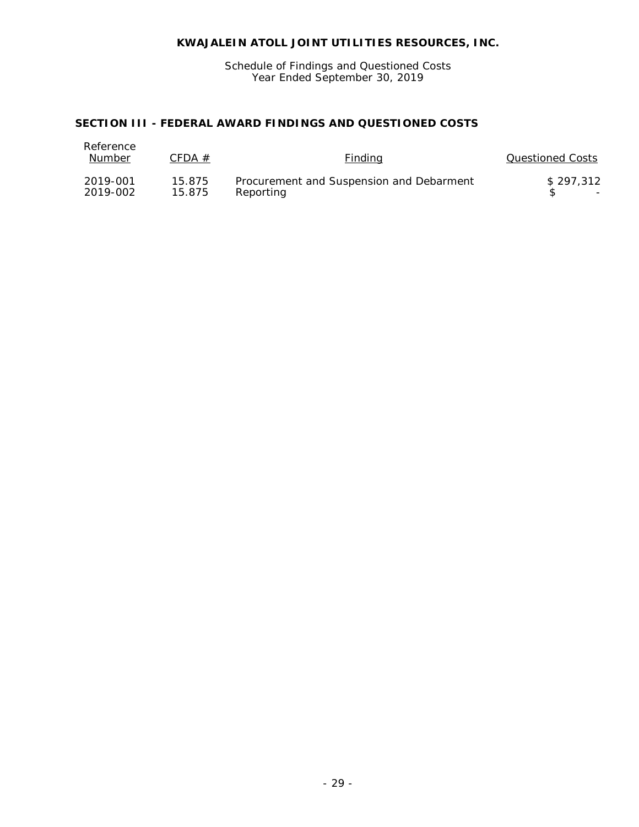Schedule of Findings and Questioned Costs Year Ended September 30, 2019

# **SECTION III - FEDERAL AWARD FINDINGS AND QUESTIONED COSTS**

| Reference<br>Number | CFDA $#$ | <b>Finding</b>                           | Questioned Costs         |
|---------------------|----------|------------------------------------------|--------------------------|
| 2019-001            | 15.875   | Procurement and Suspension and Debarment | \$297.312                |
| 2019-002            | 15.875   | Reportina                                | $\overline{\phantom{a}}$ |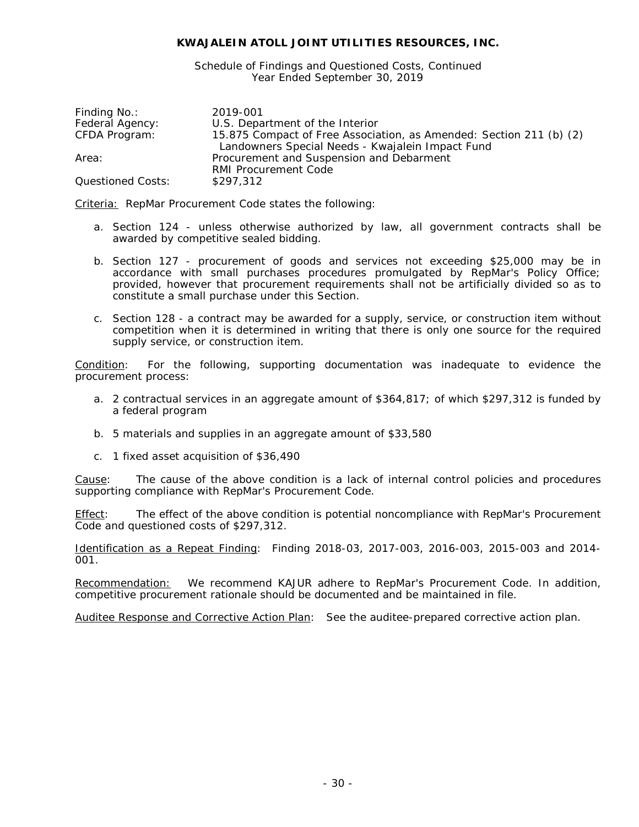Schedule of Findings and Questioned Costs, Continued Year Ended September 30, 2019

| Finding No.:      | 2019-001                                                            |
|-------------------|---------------------------------------------------------------------|
| Federal Agency:   | U.S. Department of the Interior                                     |
| CFDA Program:     | 15.875 Compact of Free Association, as Amended: Section 211 (b) (2) |
|                   | Landowners Special Needs - Kwajalein Impact Fund                    |
| Area:             | Procurement and Suspension and Debarment                            |
|                   | <b>RMI Procurement Code</b>                                         |
| Questioned Costs: | \$297,312                                                           |

Criteria: RepMar Procurement Code states the following:

- a. Section 124 unless otherwise authorized by law, all government contracts shall be awarded by competitive sealed bidding.
- b. Section 127 procurement of goods and services not exceeding \$25,000 may be in accordance with small purchases procedures promulgated by RepMar's Policy Office; provided, however that procurement requirements shall not be artificially divided so as to constitute a small purchase under this Section.
- c. Section 128 a contract may be awarded for a supply, service, or construction item without competition when it is determined in writing that there is only one source for the required supply service, or construction item.

Condition: For the following, supporting documentation was inadequate to evidence the procurement process:

- a. 2 contractual services in an aggregate amount of \$364,817; of which \$297,312 is funded by a federal program
- b. 5 materials and supplies in an aggregate amount of \$33,580
- c. 1 fixed asset acquisition of \$36,490

Cause: The cause of the above condition is a lack of internal control policies and procedures supporting compliance with RepMar's Procurement Code.

Effect: The effect of the above condition is potential noncompliance with RepMar's Procurement Code and questioned costs of \$297,312.

Identification as a Repeat Finding: Finding 2018-03, 2017-003, 2016-003, 2015-003 and 2014- 001.

Recommendation: We recommend KAJUR adhere to RepMar's Procurement Code. In addition, competitive procurement rationale should be documented and be maintained in file.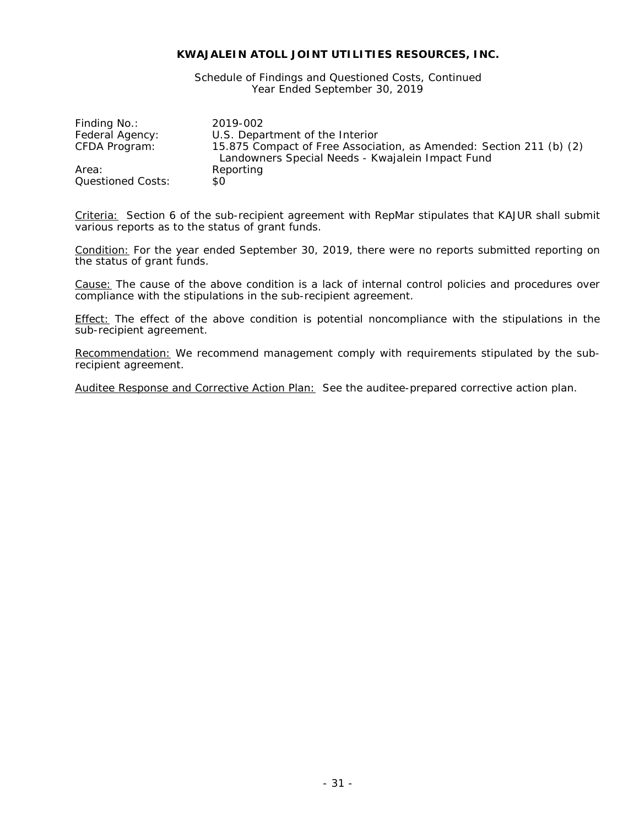Schedule of Findings and Questioned Costs, Continued Year Ended September 30, 2019

| Finding No.:      | 2019-002                                                                                                                |
|-------------------|-------------------------------------------------------------------------------------------------------------------------|
| Federal Agency:   | U.S. Department of the Interior                                                                                         |
| CFDA Program:     | 15.875 Compact of Free Association, as Amended: Section 211 (b) (2)<br>Landowners Special Needs - Kwajalein Impact Fund |
| Area:             | Reporting                                                                                                               |
| Questioned Costs: | \$0                                                                                                                     |

Criteria: Section 6 of the sub-recipient agreement with RepMar stipulates that KAJUR shall submit various reports as to the status of grant funds.

Condition: For the year ended September 30, 2019, there were no reports submitted reporting on the status of grant funds.

Cause: The cause of the above condition is a lack of internal control policies and procedures over compliance with the stipulations in the sub-recipient agreement.

Effect: The effect of the above condition is potential noncompliance with the stipulations in the sub-recipient agreement.

Recommendation: We recommend management comply with requirements stipulated by the subrecipient agreement.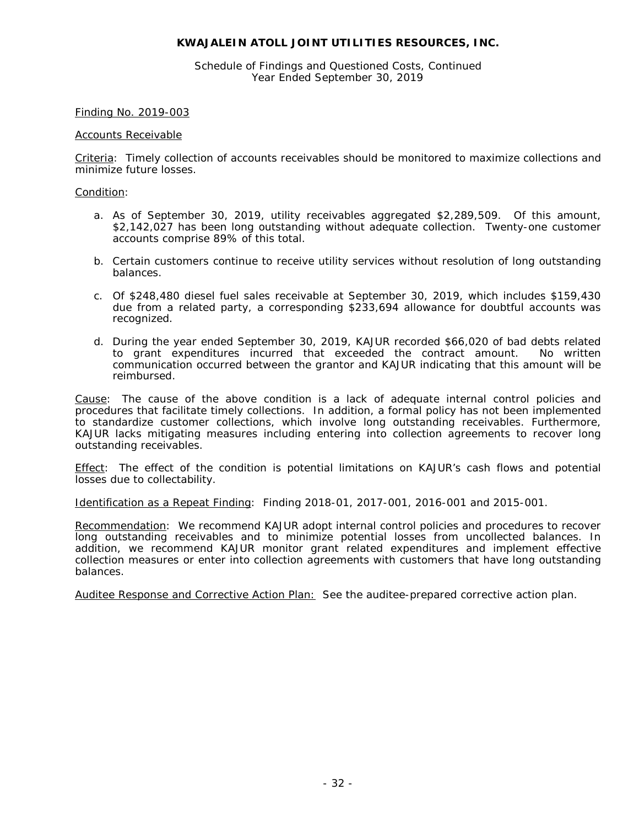Schedule of Findings and Questioned Costs, Continued Year Ended September 30, 2019

#### Finding No. 2019-003

#### Accounts Receivable

Criteria: Timely collection of accounts receivables should be monitored to maximize collections and minimize future losses.

#### Condition:

- a. As of September 30, 2019, utility receivables aggregated \$2,289,509. Of this amount, \$2,142,027 has been long outstanding without adequate collection. Twenty-one customer accounts comprise 89% of this total.
- b. Certain customers continue to receive utility services without resolution of long outstanding balances.
- c. Of \$248,480 diesel fuel sales receivable at September 30, 2019, which includes \$159,430 due from a related party, a corresponding \$233,694 allowance for doubtful accounts was recognized.
- d. During the year ended September 30, 2019, KAJUR recorded \$66,020 of bad debts related to grant expenditures incurred that exceeded the contract amount. No written communication occurred between the grantor and KAJUR indicating that this amount will be reimbursed.

Cause: The cause of the above condition is a lack of adequate internal control policies and procedures that facilitate timely collections. In addition, a formal policy has not been implemented to standardize customer collections, which involve long outstanding receivables. Furthermore, KAJUR lacks mitigating measures including entering into collection agreements to recover long outstanding receivables.

Effect: The effect of the condition is potential limitations on KAJUR's cash flows and potential losses due to collectability.

Identification as a Repeat Finding: Finding 2018-01, 2017-001, 2016-001 and 2015-001.

Recommendation: We recommend KAJUR adopt internal control policies and procedures to recover long outstanding receivables and to minimize potential losses from uncollected balances. In addition, we recommend KAJUR monitor grant related expenditures and implement effective collection measures or enter into collection agreements with customers that have long outstanding balances.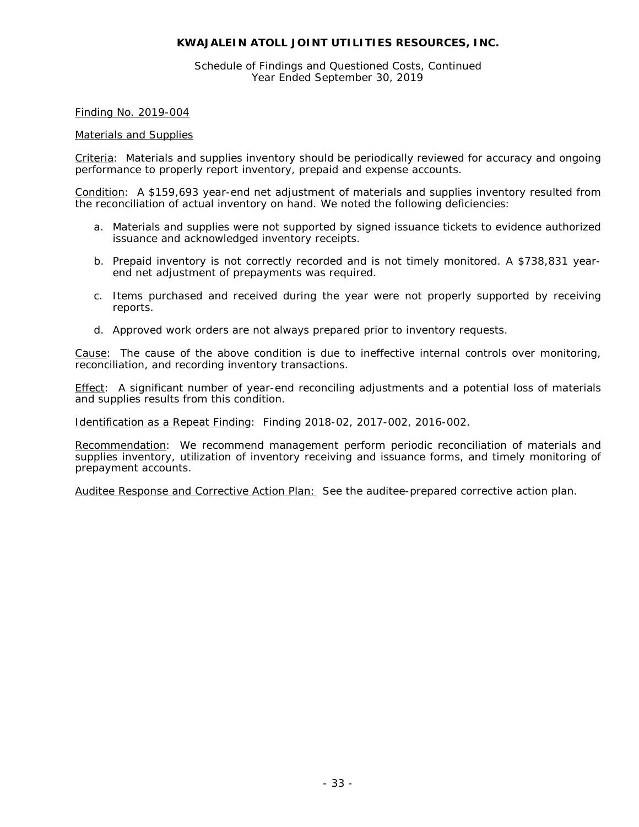Schedule of Findings and Questioned Costs, Continued Year Ended September 30, 2019

Finding No. 2019-004

#### Materials and Supplies

Criteria: Materials and supplies inventory should be periodically reviewed for accuracy and ongoing performance to properly report inventory, prepaid and expense accounts.

Condition: A \$159,693 year-end net adjustment of materials and supplies inventory resulted from the reconciliation of actual inventory on hand. We noted the following deficiencies:

- a. Materials and supplies were not supported by signed issuance tickets to evidence authorized issuance and acknowledged inventory receipts.
- b. Prepaid inventory is not correctly recorded and is not timely monitored. A \$738,831 yearend net adjustment of prepayments was required.
- c. Items purchased and received during the year were not properly supported by receiving reports.
- d. Approved work orders are not always prepared prior to inventory requests.

Cause: The cause of the above condition is due to ineffective internal controls over monitoring, reconciliation, and recording inventory transactions.

Effect: A significant number of year-end reconciling adjustments and a potential loss of materials and supplies results from this condition.

Identification as a Repeat Finding: Finding 2018-02, 2017-002, 2016-002.

Recommendation: We recommend management perform periodic reconciliation of materials and supplies inventory, utilization of inventory receiving and issuance forms, and timely monitoring of prepayment accounts.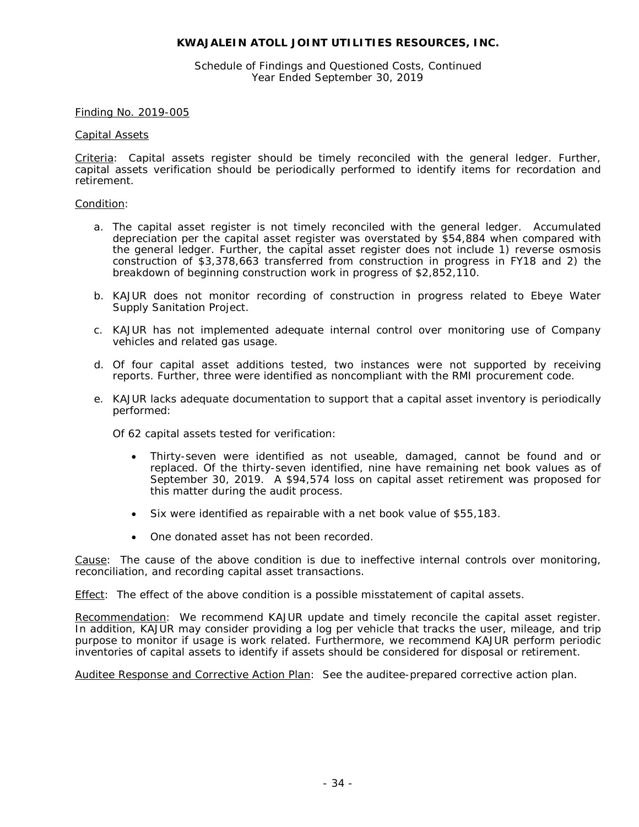Schedule of Findings and Questioned Costs, Continued Year Ended September 30, 2019

#### Finding No. 2019-005

#### Capital Assets

Criteria: Capital assets register should be timely reconciled with the general ledger. Further, capital assets verification should be periodically performed to identify items for recordation and retirement.

#### Condition:

- a. The capital asset register is not timely reconciled with the general ledger. Accumulated depreciation per the capital asset register was overstated by \$54,884 when compared with the general ledger. Further, the capital asset register does not include 1) reverse osmosis construction of \$3,378,663 transferred from construction in progress in FY18 and 2) the breakdown of beginning construction work in progress of \$2,852,110.
- b. KAJUR does not monitor recording of construction in progress related to Ebeye Water Supply Sanitation Project.
- c. KAJUR has not implemented adequate internal control over monitoring use of Company vehicles and related gas usage.
- d. Of four capital asset additions tested, two instances were not supported by receiving reports. Further, three were identified as noncompliant with the RMI procurement code.
- e. KAJUR lacks adequate documentation to support that a capital asset inventory is periodically performed:

Of 62 capital assets tested for verification:

- Thirty-seven were identified as not useable, damaged, cannot be found and or replaced. Of the thirty-seven identified, nine have remaining net book values as of September 30, 2019. A \$94,574 loss on capital asset retirement was proposed for this matter during the audit process.
- Six were identified as repairable with a net book value of \$55,183.
- One donated asset has not been recorded.

Cause: The cause of the above condition is due to ineffective internal controls over monitoring, reconciliation, and recording capital asset transactions.

Effect: The effect of the above condition is a possible misstatement of capital assets.

Recommendation: We recommend KAJUR update and timely reconcile the capital asset register. In addition, KAJUR may consider providing a log per vehicle that tracks the user, mileage, and trip purpose to monitor if usage is work related. Furthermore, we recommend KAJUR perform periodic inventories of capital assets to identify if assets should be considered for disposal or retirement.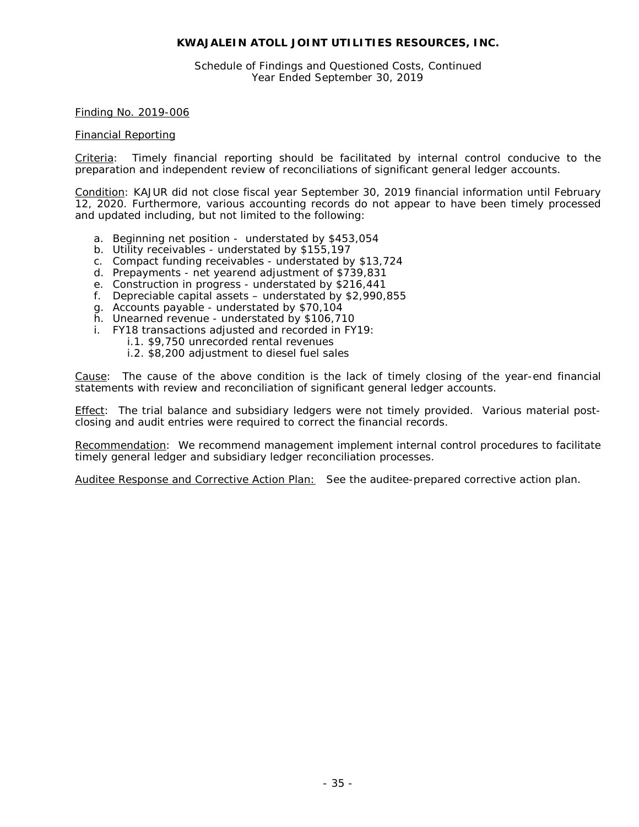Schedule of Findings and Questioned Costs, Continued Year Ended September 30, 2019

#### Finding No. 2019-006

#### Financial Reporting

Criteria: Timely financial reporting should be facilitated by internal control conducive to the preparation and independent review of reconciliations of significant general ledger accounts.

Condition: KAJUR did not close fiscal year September 30, 2019 financial information until February 12, 2020. Furthermore, various accounting records do not appear to have been timely processed and updated including, but not limited to the following:

- a. Beginning net position understated by \$453,054
- b. Utility receivables understated by \$155,197
- c. Compact funding receivables understated by \$13,724
- d. Prepayments net yearend adjustment of \$739,831
- e. Construction in progress understated by \$216,441
- f. Depreciable capital assets understated by \$2,990,855
- g. Accounts payable understated by \$70,104
- h. Unearned revenue understated by \$106,710
- i. FY18 transactions adjusted and recorded in FY19:
	- i.1. \$9,750 unrecorded rental revenues
	- i.2. \$8,200 adjustment to diesel fuel sales

Cause: The cause of the above condition is the lack of timely closing of the year-end financial statements with review and reconciliation of significant general ledger accounts.

Effect: The trial balance and subsidiary ledgers were not timely provided. Various material postclosing and audit entries were required to correct the financial records.

Recommendation: We recommend management implement internal control procedures to facilitate timely general ledger and subsidiary ledger reconciliation processes.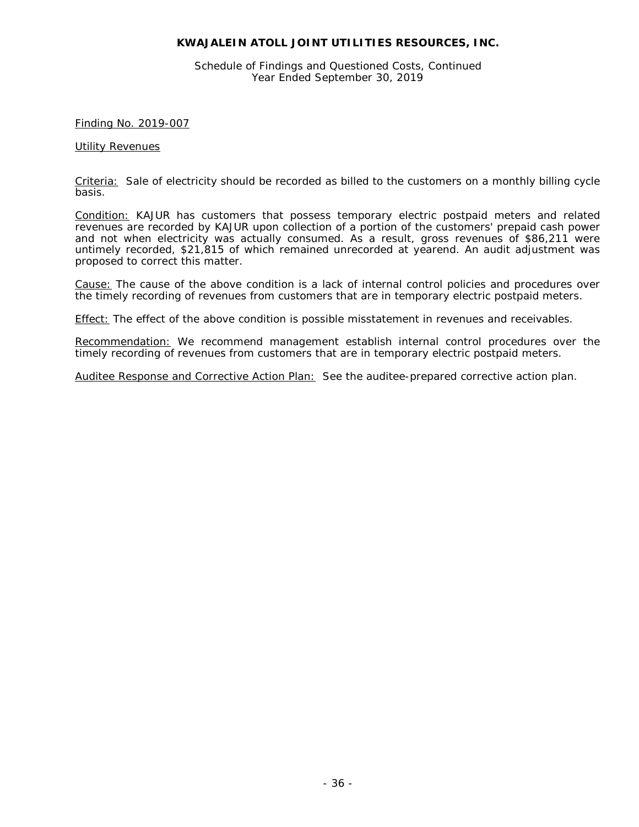Schedule of Findings and Questioned Costs, Continued Year Ended September 30, 2019

## Finding No. 2019-007

#### Utility Revenues

Criteria: Sale of electricity should be recorded as billed to the customers on a monthly billing cycle basis.

Condition: KAJUR has customers that possess temporary electric postpaid meters and related revenues are recorded by KAJUR upon collection of a portion of the customers' prepaid cash power and not when electricity was actually consumed. As a result, gross revenues of \$86,211 were untimely recorded, \$21,815 of which remained unrecorded at yearend. An audit adjustment was proposed to correct this matter.

Cause: The cause of the above condition is a lack of internal control policies and procedures over the timely recording of revenues from customers that are in temporary electric postpaid meters.

Effect: The effect of the above condition is possible misstatement in revenues and receivables.

Recommendation: We recommend management establish internal control procedures over the timely recording of revenues from customers that are in temporary electric postpaid meters.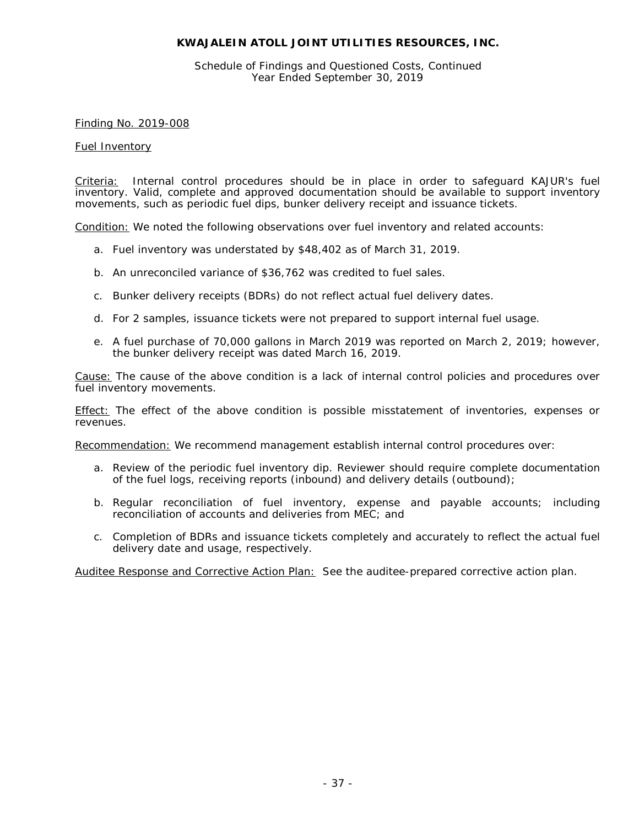Schedule of Findings and Questioned Costs, Continued Year Ended September 30, 2019

Finding No. 2019-008

#### Fuel Inventory

Criteria: Internal control procedures should be in place in order to safeguard KAJUR's fuel inventory. Valid, complete and approved documentation should be available to support inventory movements, such as periodic fuel dips, bunker delivery receipt and issuance tickets.

Condition: We noted the following observations over fuel inventory and related accounts:

- a. Fuel inventory was understated by \$48,402 as of March 31, 2019.
- b. An unreconciled variance of \$36,762 was credited to fuel sales.
- c. Bunker delivery receipts (BDRs) do not reflect actual fuel delivery dates.
- d. For 2 samples, issuance tickets were not prepared to support internal fuel usage.
- e. A fuel purchase of 70,000 gallons in March 2019 was reported on March 2, 2019; however, the bunker delivery receipt was dated March 16, 2019.

Cause: The cause of the above condition is a lack of internal control policies and procedures over fuel inventory movements.

Effect: The effect of the above condition is possible misstatement of inventories, expenses or revenues.

Recommendation: We recommend management establish internal control procedures over:

- a. Review of the periodic fuel inventory dip. Reviewer should require complete documentation of the fuel logs, receiving reports (inbound) and delivery details (outbound);
- b. Regular reconciliation of fuel inventory, expense and payable accounts; including reconciliation of accounts and deliveries from MEC; and
- c. Completion of BDRs and issuance tickets completely and accurately to reflect the actual fuel delivery date and usage, respectively.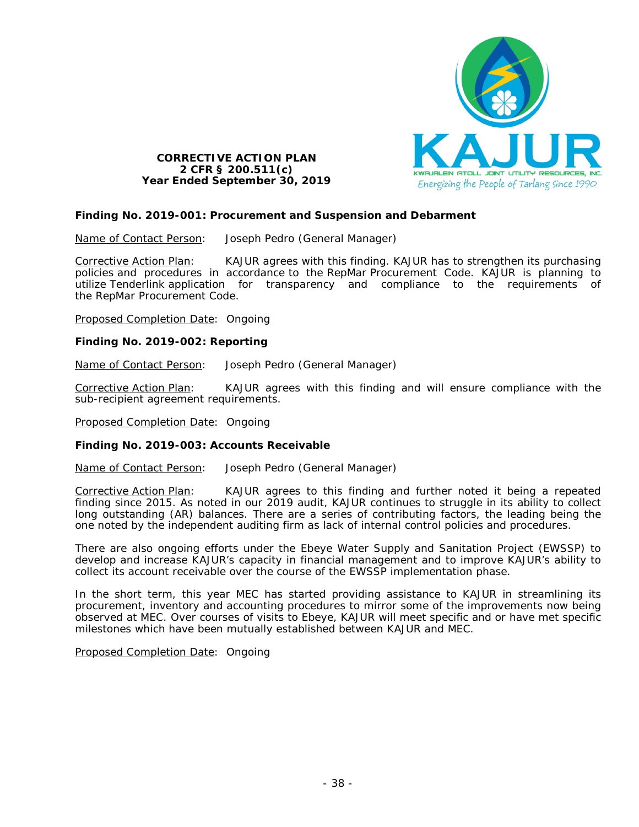

# **CORRECTIVE ACTION PLAN 2 CFR § 200.511(c) Year Ended September 30, 2019**

# **Finding No. 2019-001: Procurement and Suspension and Debarment**

Name of Contact Person: Joseph Pedro (General Manager)

Corrective Action Plan: KAJUR agrees with this finding. KAJUR has to strengthen its purchasing policies and procedures in accordance to the RepMar Procurement Code. KAJUR is planning to utilize Tenderlink application for transparency and compliance to the requirements of the RepMar Procurement Code.

Proposed Completion Date: Ongoing

# **Finding No. 2019-002: Reporting**

Name of Contact Person: Joseph Pedro (General Manager)

Corrective Action Plan: KAJUR agrees with this finding and will ensure compliance with the sub-recipient agreement requirements.

Proposed Completion Date: Ongoing

## **Finding No. 2019-003: Accounts Receivable**

Name of Contact Person: Joseph Pedro (General Manager)

Corrective Action Plan: KAJUR agrees to this finding and further noted it being a repeated finding since 2015. As noted in our 2019 audit, KAJUR continues to struggle in its ability to collect long outstanding (AR) balances. There are a series of contributing factors, the leading being the one noted by the independent auditing firm as lack of internal control policies and procedures.

There are also ongoing efforts under the Ebeye Water Supply and Sanitation Project (EWSSP) to develop and increase KAJUR's capacity in financial management and to improve KAJUR's ability to collect its account receivable over the course of the EWSSP implementation phase.

In the short term, this year MEC has started providing assistance to KAJUR in streamlining its procurement, inventory and accounting procedures to mirror some of the improvements now being observed at MEC. Over courses of visits to Ebeye, KAJUR will meet specific and or have met specific milestones which have been mutually established between KAJUR and MEC.

Proposed Completion Date: Ongoing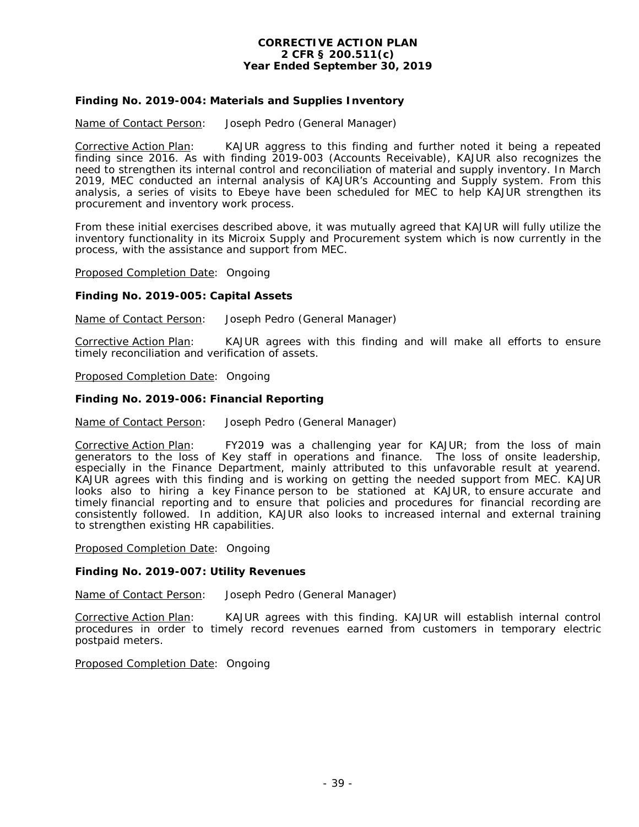## **CORRECTIVE ACTION PLAN 2 CFR § 200.511(c) Year Ended September 30, 2019**

# **Finding No. 2019-004: Materials and Supplies Inventory**

Name of Contact Person: Joseph Pedro (General Manager)

Corrective Action Plan: KAJUR aggress to this finding and further noted it being a repeated finding since 2016. As with finding 2019-003 (Accounts Receivable), KAJUR also recognizes the need to strengthen its internal control and reconciliation of material and supply inventory. In March 2019, MEC conducted an internal analysis of KAJUR's Accounting and Supply system. From this analysis, a series of visits to Ebeye have been scheduled for MEC to help KAJUR strengthen its procurement and inventory work process.

From these initial exercises described above, it was mutually agreed that KAJUR will fully utilize the inventory functionality in its Microix Supply and Procurement system which is now currently in the process, with the assistance and support from MEC.

Proposed Completion Date: Ongoing

## **Finding No. 2019-005: Capital Assets**

Name of Contact Person: Joseph Pedro (General Manager)

Corrective Action Plan: KAJUR agrees with this finding and will make all efforts to ensure timely reconciliation and verification of assets.

Proposed Completion Date: Ongoing

#### **Finding No. 2019-006: Financial Reporting**

Name of Contact Person: Joseph Pedro (General Manager)

Corrective Action Plan: FY2019 was a challenging year for KAJUR; from the loss of main generators to the loss of Key staff in operations and finance. The loss of onsite leadership, especially in the Finance Department, mainly attributed to this unfavorable result at yearend. KAJUR agrees with this finding and is working on getting the needed support from MEC. KAJUR looks also to hiring a key Finance person to be stationed at KAJUR, to ensure accurate and timely financial reporting and to ensure that policies and procedures for financial recording are consistently followed. In addition, KAJUR also looks to increased internal and external training to strengthen existing HR capabilities.

Proposed Completion Date: Ongoing

## **Finding No. 2019-007: Utility Revenues**

Name of Contact Person: Joseph Pedro (General Manager)

Corrective Action Plan: KAJUR agrees with this finding. KAJUR will establish internal control procedures in order to timely record revenues earned from customers in temporary electric postpaid meters.

Proposed Completion Date: Ongoing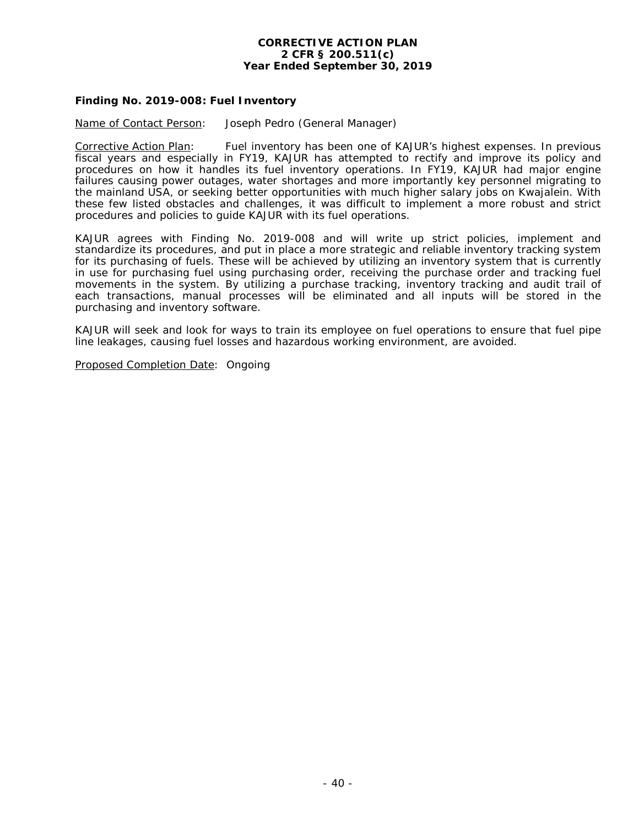#### **CORRECTIVE ACTION PLAN 2 CFR § 200.511(c) Year Ended September 30, 2019**

# **Finding No. 2019-008: Fuel Inventory**

Name of Contact Person: Joseph Pedro (General Manager)

Corrective Action Plan: Fuel inventory has been one of KAJUR's highest expenses. In previous fiscal years and especially in FY19, KAJUR has attempted to rectify and improve its policy and procedures on how it handles its fuel inventory operations. In FY19, KAJUR had major engine failures causing power outages, water shortages and more importantly key personnel migrating to the mainland USA, or seeking better opportunities with much higher salary jobs on Kwajalein. With these few listed obstacles and challenges, it was difficult to implement a more robust and strict procedures and policies to guide KAJUR with its fuel operations.

KAJUR agrees with Finding No. 2019-008 and will write up strict policies, implement and standardize its procedures, and put in place a more strategic and reliable inventory tracking system for its purchasing of fuels. These will be achieved by utilizing an inventory system that is currently in use for purchasing fuel using purchasing order, receiving the purchase order and tracking fuel movements in the system. By utilizing a purchase tracking, inventory tracking and audit trail of each transactions, manual processes will be eliminated and all inputs will be stored in the purchasing and inventory software.

KAJUR will seek and look for ways to train its employee on fuel operations to ensure that fuel pipe line leakages, causing fuel losses and hazardous working environment, are avoided.

Proposed Completion Date: Ongoing